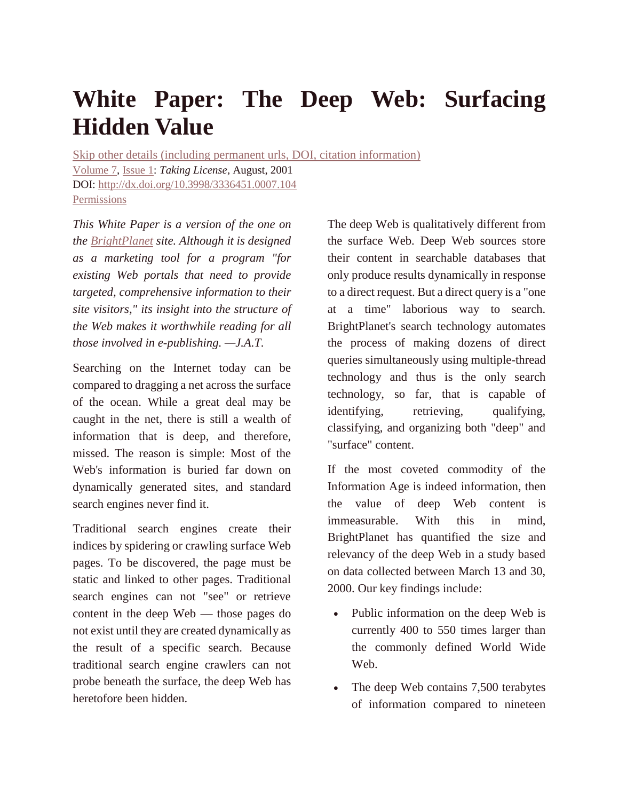# **White Paper: The Deep Web: Surfacing Hidden Value**

Skip other details (including permanent urls, DOI, citation [information\)](http://quod.lib.umich.edu/j/jep/3336451.0007.104?view=text;rgn=main#end-of-header) [Volume](http://quod.lib.umich.edu/j/jep/3336451.0007?rgn=main;view=fulltext) 7, [Issue](http://quod.lib.umich.edu/j/jep/3336451.0007.1*?rgn=main;view=fulltext) 1: *Taking License*, August, 2001 DOI: <http://dx.doi.org/10.3998/3336451.0007.104> [Permissions](http://quod.lib.umich.edu/j/jep/3336451.0007.104?view=text;rgn=main)

*This White Paper is a version of the one on the [BrightPlanet](http://www.brightplanet.com/) site. Although it is designed as a marketing tool for a program "for existing Web portals that need to provide targeted, comprehensive information to their site visitors," its insight into the structure of the Web makes it worthwhile reading for all those involved in e-publishing. —J.A.T.*

Searching on the Internet today can be compared to dragging a net across the surface of the ocean. While a great deal may be caught in the net, there is still a wealth of information that is deep, and therefore, missed. The reason is simple: Most of the Web's information is buried far down on dynamically generated sites, and standard search engines never find it.

Traditional search engines create their indices by spidering or crawling surface Web pages. To be discovered, the page must be static and linked to other pages. Traditional search engines can not "see" or retrieve content in the deep Web — those pages do not exist until they are created dynamically as the result of a specific search. Because traditional search engine crawlers can not probe beneath the surface, the deep Web has heretofore been hidden.

The deep Web is qualitatively different from the surface Web. Deep Web sources store their content in searchable databases that only produce results dynamically in response to a direct request. But a direct query is a "one at a time" laborious way to search. BrightPlanet's search technology automates the process of making dozens of direct queries simultaneously using multiple-thread technology and thus is the only search technology, so far, that is capable of identifying, retrieving, qualifying, classifying, and organizing both "deep" and "surface" content.

If the most coveted commodity of the Information Age is indeed information, then the value of deep Web content is immeasurable. With this in mind, BrightPlanet has quantified the size and relevancy of the deep Web in a study based on data collected between March 13 and 30, 2000. Our key findings include:

- Public information on the deep Web is currently 400 to 550 times larger than the commonly defined World Wide Web.
- The deep Web contains 7,500 terabytes of information compared to nineteen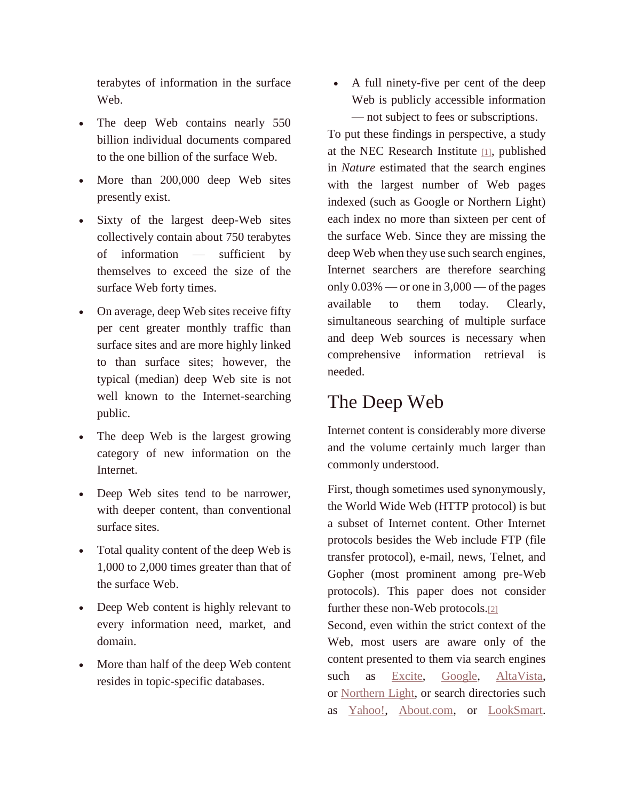terabytes of information in the surface Web.

- The deep Web contains nearly 550 billion individual documents compared to the one billion of the surface Web.
- More than 200,000 deep Web sites presently exist.
- Sixty of the largest deep-Web sites collectively contain about 750 terabytes of information — sufficient by themselves to exceed the size of the surface Web forty times.
- On average, deep Web sites receive fifty per cent greater monthly traffic than surface sites and are more highly linked to than surface sites; however, the typical (median) deep Web site is not well known to the Internet-searching public.
- The deep Web is the largest growing category of new information on the Internet.
- Deep Web sites tend to be narrower, with deeper content, than conventional surface sites.
- Total quality content of the deep Web is 1,000 to 2,000 times greater than that of the surface Web.
- Deep Web content is highly relevant to every information need, market, and domain.
- More than half of the deep Web content resides in topic-specific databases.

 A full ninety-five per cent of the deep Web is publicly accessible information — not subject to fees or subscriptions.

To put these findings in perspective, a study at the NEC Research Institute [\[1\]](http://quod.lib.umich.edu/j/jep/3336451.0007.104?view=text;rgn=main#fn1), published in *Nature* estimated that the search engines with the largest number of Web pages indexed (such as Google or Northern Light) each index no more than sixteen per cent of the surface Web. Since they are missing the deep Web when they use such search engines, Internet searchers are therefore searching only  $0.03\%$  — or one in  $3,000$  — of the pages available to them today. Clearly, simultaneous searching of multiple surface and deep Web sources is necessary when comprehensive information retrieval is needed.

#### The Deep Web

Internet content is considerably more diverse and the volume certainly much larger than commonly understood.

First, though sometimes used synonymously, the World Wide Web (HTTP protocol) is but a subset of Internet content. Other Internet protocols besides the Web include FTP (file transfer protocol), e-mail, news, Telnet, and Gopher (most prominent among pre-Web protocols). This paper does not consider further these non-Web protocols.[\[2\]](http://quod.lib.umich.edu/j/jep/3336451.0007.104?view=text;rgn=main#fn2)

Second, even within the strict context of the Web, most users are aware only of the content presented to them via search engines such as [Excite,](http://www.excite.com/) [Google,](http://www.google.com/) [AltaVista,](http://www.altavista.com/) or [Northern](http://www.northernlight.com/) Light, or search directories such as [Yahoo!,](http://www.yahoo.com/) [About.com,](http://www.about.com/) or [LookSmart.](http://www.looksmart.com/)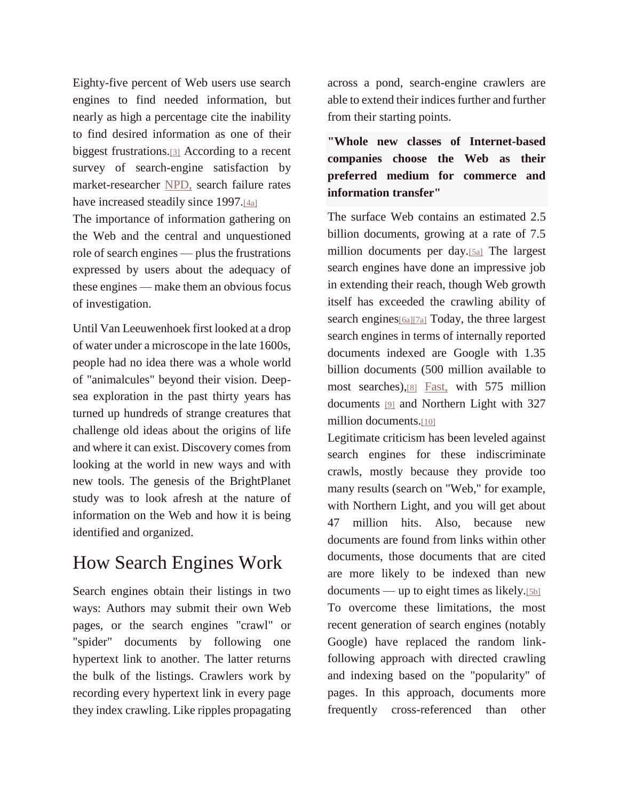Eighty-five percent of Web users use search engines to find needed information, but nearly as high a percentage cite the inability to find desired information as one of their biggest frustrations.[\[3\]](http://quod.lib.umich.edu/j/jep/3336451.0007.104?view=text;rgn=main#fn3) According to a recent survey of search-engine satisfaction by market-researcher [NPD,](http://www.npd.com/) search failure rates have increased steadily since 1997.<sup>[\[4a\]](http://quod.lib.umich.edu/j/jep/3336451.0007.104?view=text;rgn=main#fn4)</sup>

The importance of information gathering on the Web and the central and unquestioned role of search engines — plus the frustrations expressed by users about the adequacy of these engines — make them an obvious focus of investigation.

Until Van Leeuwenhoek first looked at a drop of water under a microscope in the late 1600s, people had no idea there was a whole world of "animalcules" beyond their vision. Deepsea exploration in the past thirty years has turned up hundreds of strange creatures that challenge old ideas about the origins of life and where it can exist. Discovery comes from looking at the world in new ways and with new tools. The genesis of the BrightPlanet study was to look afresh at the nature of information on the Web and how it is being identified and organized.

## How Search Engines Work

Search engines obtain their listings in two ways: Authors may submit their own Web pages, or the search engines "crawl" or "spider" documents by following one hypertext link to another. The latter returns the bulk of the listings. Crawlers work by recording every hypertext link in every page they index crawling. Like ripples propagating

across a pond, search-engine crawlers are able to extend their indices further and further from their starting points.

**"Whole new classes of Internet-based companies choose the Web as their preferred medium for commerce and information transfer"**

The surface Web contains an estimated 2.5 billion documents, growing at a rate of 7.5 million documents per day.[\[5a\]](http://quod.lib.umich.edu/j/jep/3336451.0007.104?view=text;rgn=main#fn5) The largest search engines have done an impressive job in extending their reach, though Web growth itself has exceeded the crawling ability of search engines<sup>[\[6a\]\[7a\]](http://quod.lib.umich.edu/j/jep/3336451.0007.104?view=text;rgn=main#fn6)</sup> Today, the three largest search engines in terms of internally reported documents indexed are Google with 1.35 billion documents (500 million available to most searches),[\[8\]](http://quod.lib.umich.edu/j/jep/3336451.0007.104?view=text;rgn=main#fn8) [Fast,](http://www.alltheweb.com/) with 575 million documents [\[9\]](http://quod.lib.umich.edu/j/jep/3336451.0007.104?view=text;rgn=main#fn9) and Northern Light with 327 million documents.[\[10\]](http://quod.lib.umich.edu/j/jep/3336451.0007.104?view=text;rgn=main#fn10)

Legitimate criticism has been leveled against search engines for these indiscriminate crawls, mostly because they provide too many results (search on "Web," for example, with Northern Light, and you will get about 47 million hits. Also, because new documents are found from links within other documents, those documents that are cited are more likely to be indexed than new documents — up to eight times as likely. $[5b]$ To overcome these limitations, the most recent generation of search engines (notably Google) have replaced the random linkfollowing approach with directed crawling and indexing based on the "popularity" of pages. In this approach, documents more frequently cross-referenced than other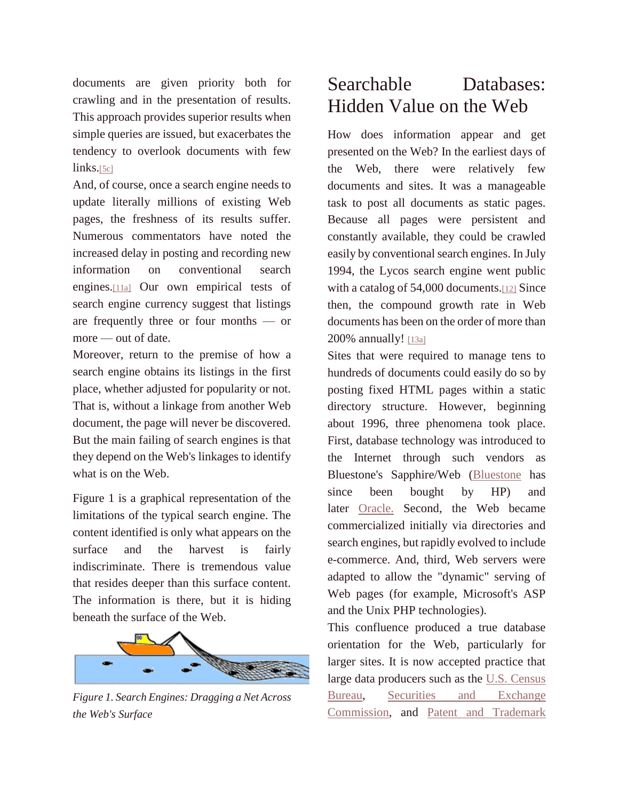documents are given priority both for crawling and in the presentation of results. This approach provides superior results when simple queries are issued, but exacerbates the tendency to overlook documents with few  $links.[5c]$  $links.[5c]$ 

And, of course, once a search engine needs to update literally millions of existing Web pages, the freshness of its results suffer. Numerous commentators have noted the increased delay in posting and recording new information on conventional search engines.[\[11a\]](http://quod.lib.umich.edu/j/jep/3336451.0007.104?view=text;rgn=main#fn11) Our own empirical tests of search engine currency suggest that listings are frequently three or four months — or more — out of date.

Moreover, return to the premise of how a search engine obtains its listings in the first place, whether adjusted for popularity or not. That is, without a linkage from another Web document, the page will never be discovered. But the main failing of search engines is that they depend on the Web's linkages to identify what is on the Web.

Figure 1 is a graphical representation of the limitations of the typical search engine. The content identified is only what appears on the surface and the harvest is fairly indiscriminate. There is tremendous value that resides deeper than this surface content. The information is there, but it is hiding beneath the surface of the Web.



*Figure 1. Search Engines: Dragging a Net Across the Web's Surface*

#### Searchable Databases: Hidden Value on the Web

How does information appear and get presented on the Web? In the earliest days of the Web, there were relatively few documents and sites. It was a manageable task to post all documents as static pages. Because all pages were persistent and constantly available, they could be crawled easily by conventional search engines. In July 1994, the Lycos search engine went public with a catalog of 54,000 documents.<sup>[\[12\]](http://quod.lib.umich.edu/j/jep/3336451.0007.104?view=text;rgn=main#fn12)</sup> Since then, the compound growth rate in Web documents has been on the order of more than 200% annually! [\[13a\]](http://quod.lib.umich.edu/j/jep/3336451.0007.104?view=text;rgn=main#fn13)

Sites that were required to manage tens to hundreds of documents could easily do so by posting fixed HTML pages within a static directory structure. However, beginning about 1996, three phenomena took place. First, database technology was introduced to the Internet through such vendors as Bluestone's Sapphire/Web [\(Bluestone](http://www.bluestone.com/) has since been bought by HP) and later [Oracle.](http://www.oracle.com/) Second, the Web became commercialized initially via directories and search engines, but rapidly evolved to include e-commerce. And, third, Web servers were adapted to allow the "dynamic" serving of Web pages (for example, Microsoft's ASP and the Unix PHP technologies).

This confluence produced a true database [orientation for the W](http://quod.lib.umich.edu/j/jep/images/3336451.0007.104-00000001.gif)eb, particularly for larger sites. It is now accepted practice that large data producers such as the U.S. [Census](http://www.census.gov/) [Bureau,](http://www.census.gov/) Securities and [Exchange](http://www.sec.gov/) [Commission,](http://www.sec.gov/) and Patent and [Trademark](http://www.uspto.gov/)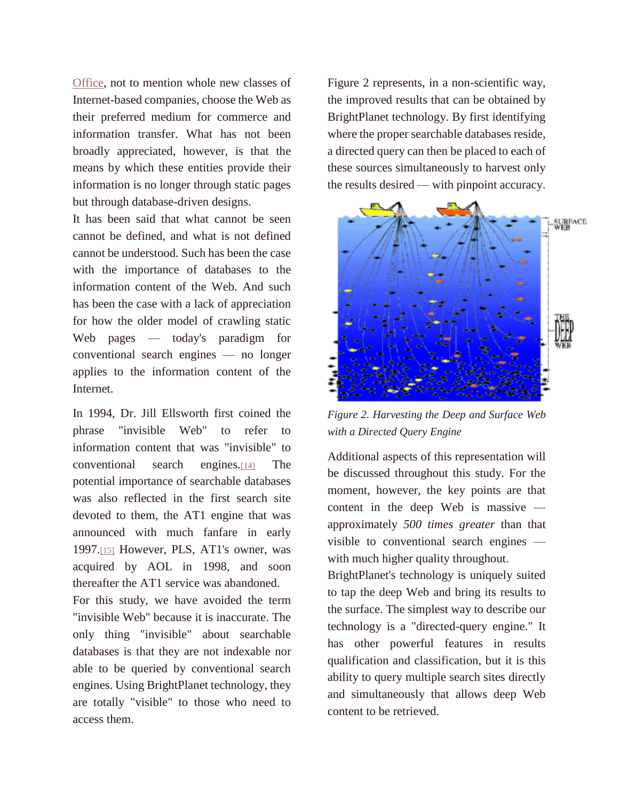[Office,](http://www.uspto.gov/) not to mention whole new classes of Internet-based companies, choose the Web as their preferred medium for commerce and information transfer. What has not been broadly appreciated, however, is that the means by which these entities provide their information is no longer through static pages but through database-driven designs.

It has been said that what cannot be seen cannot be defined, and what is not defined cannot be understood. Such has been the case with the importance of databases to the information content of the Web. And such has been the case with a lack of appreciation for how the older model of crawling static Web pages — today's paradigm for conventional search engines — no longer applies to the information content of the Internet.

In 1994, Dr. Jill Ellsworth first coined the phrase "invisible Web" to refer to information content that was "invisible" to conventional search engines.[\[14\]](http://quod.lib.umich.edu/j/jep/3336451.0007.104?view=text;rgn=main#fn14) The potential importance of searchable databases was also reflected in the first search site devoted to them, the AT1 engine that was announced with much fanfare in early 1997.[\[15\]](http://quod.lib.umich.edu/j/jep/3336451.0007.104?view=text;rgn=main#fn15) However, PLS, AT1's owner, was acquired by AOL in 1998, and soon thereafter the AT1 service was abandoned.

For this study, we have avoided the term "invisible Web" because it is inaccurate. The only thing "invisible" about searchable databases is that they are not indexable nor able to be queried by conventional search engines. Using BrightPlanet technology, they are totally "visible" to those who need to access them.

Figure 2 represents, in a non-scientific way, the improved results that can be obtained by BrightPlanet technology. By first identifying where the proper searchable databases reside, a directed query can then be placed to each of these sources simultaneously to harvest only the results desired — with pinpoint accuracy.



*Figure 2. Harvesting the Deep and Surface Web with a Directed Query Engine*

Additional aspects of this representation will be discussed throughout this study. For the moment, however, the key points are that content in the deep Web is massive approximately *500 times greater* than that visible to conventional search engines with much higher quality throughout.

BrightPlanet's technology is uniquely suited to tap the deep Web and bring its results to the surface. The simplest way to describe our technology is a "directed-query engine." It has other powerful features in results qualification and classification, but it is this ability to query multiple search sites directly and simultaneously that allows deep Web content to be retrieved.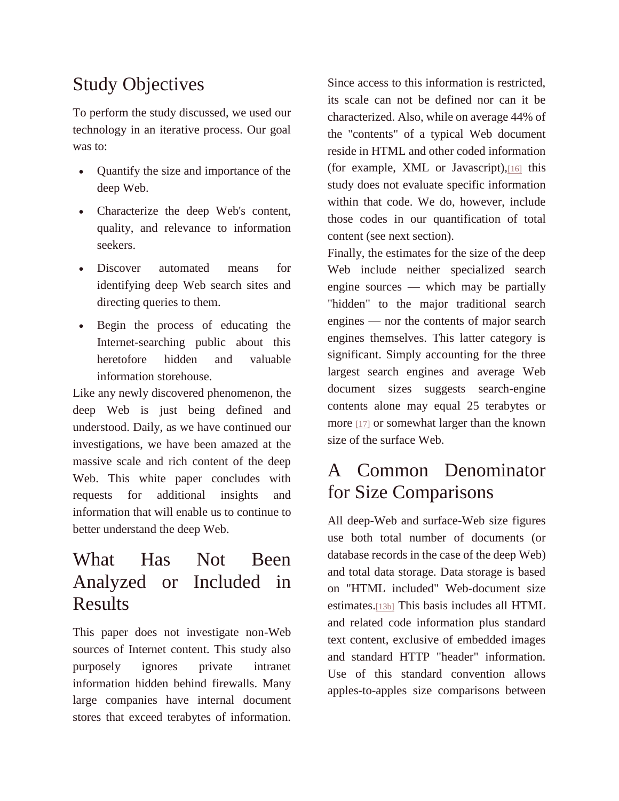## Study Objectives

To perform the study discussed, we used our technology in an iterative process. Our goal was to:

- Quantify the size and importance of the deep Web.
- Characterize the deep Web's content, quality, and relevance to information seekers.
- Discover automated means for identifying deep Web search sites and directing queries to them.
- Begin the process of educating the Internet-searching public about this heretofore hidden and valuable information storehouse.

Like any newly discovered phenomenon, the deep Web is just being defined and understood. Daily, as we have continued our investigations, we have been amazed at the massive scale and rich content of the deep Web. This white paper concludes with requests for additional insights and information that will enable us to continue to better understand the deep Web.

### What Has Not Been Analyzed or Included in Results

This paper does not investigate non-Web sources of Internet content. This study also purposely ignores private intranet information hidden behind firewalls. Many large companies have internal document stores that exceed terabytes of information.

Since access to this information is restricted, its scale can not be defined nor can it be characterized. Also, while on average 44% of the "contents" of a typical Web document reside in HTML and other coded information (for example, XML or Javascript),[\[16\]](http://quod.lib.umich.edu/j/jep/3336451.0007.104?view=text;rgn=main#fn16) this study does not evaluate specific information within that code. We do, however, include those codes in our quantification of total content (see next section).

Finally, the estimates for the size of the deep Web include neither specialized search engine sources — which may be partially "hidden" to the major traditional search engines — nor the contents of major search engines themselves. This latter category is significant. Simply accounting for the three largest search engines and average Web document sizes suggests search-engine contents alone may equal 25 terabytes or more [\[17\]](http://quod.lib.umich.edu/j/jep/3336451.0007.104?view=text;rgn=main#fn17) or somewhat larger than the known size of the surface Web.

## A Common Denominator for Size Comparisons

All deep-Web and surface-Web size figures use both total number of documents (or database records in the case of the deep Web) and total data storage. Data storage is based on "HTML included" Web-document size estimates.[\[13b\]](http://quod.lib.umich.edu/j/jep/3336451.0007.104?view=text;rgn=main#fn13) This basis includes all HTML and related code information plus standard text content, exclusive of embedded images and standard HTTP "header" information. Use of this standard convention allows apples-to-apples size comparisons between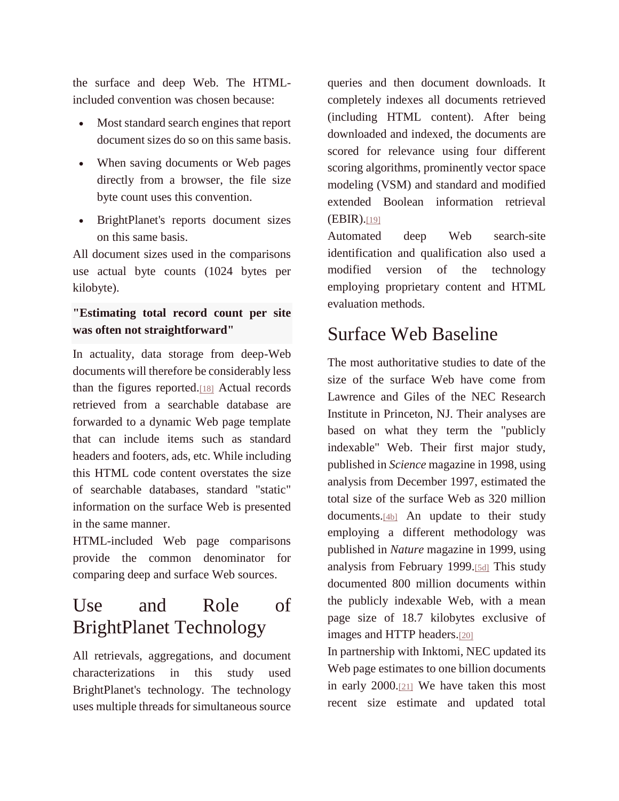the surface and deep Web. The HTMLincluded convention was chosen because:

- Most standard search engines that report document sizes do so on this same basis.
- When saving documents or Web pages directly from a browser, the file size byte count uses this convention.
- BrightPlanet's reports document sizes on this same basis.

All document sizes used in the comparisons use actual byte counts (1024 bytes per kilobyte).

#### **"Estimating total record count per site was often not straightforward"**

In actuality, data storage from deep-Web documents will therefore be considerably less than the figures reported.[\[18\]](http://quod.lib.umich.edu/j/jep/3336451.0007.104?view=text;rgn=main#fn18) Actual records retrieved from a searchable database are forwarded to a dynamic Web page template that can include items such as standard headers and footers, ads, etc. While including this HTML code content overstates the size of searchable databases, standard "static" information on the surface Web is presented in the same manner.

HTML-included Web page comparisons provide the common denominator for comparing deep and surface Web sources.

## Use and Role of BrightPlanet Technology

All retrievals, aggregations, and document characterizations in this study used BrightPlanet's technology. The technology uses multiple threads for simultaneous source queries and then document downloads. It completely indexes all documents retrieved (including HTML content). After being downloaded and indexed, the documents are scored for relevance using four different scoring algorithms, prominently vector space modeling (VSM) and standard and modified extended Boolean information retrieval (EBIR).[\[19\]](http://quod.lib.umich.edu/j/jep/3336451.0007.104?view=text;rgn=main#fn19)

Automated deep Web search-site identification and qualification also used a modified version of the technology employing proprietary content and HTML evaluation methods.

## Surface Web Baseline

The most authoritative studies to date of the size of the surface Web have come from Lawrence and Giles of the NEC Research Institute in Princeton, NJ. Their analyses are based on what they term the "publicly indexable" Web. Their first major study, published in *Science* magazine in 1998, using analysis from December 1997, estimated the total size of the surface Web as 320 million documents.[\[4b\]](http://quod.lib.umich.edu/j/jep/3336451.0007.104?view=text;rgn=main#fn4) An update to their study employing a different methodology was published in *Nature* magazine in 1999, using analysis from February 1999.[\[5d\]](http://quod.lib.umich.edu/j/jep/3336451.0007.104?view=text;rgn=main#fn5) This study documented 800 million documents within the publicly indexable Web, with a mean page size of 18.7 kilobytes exclusive of images and HTTP headers.[\[20\]](http://quod.lib.umich.edu/j/jep/3336451.0007.104?view=text;rgn=main#fn20)

In partnership with Inktomi, NEC updated its Web page estimates to one billion documents in early 2000.[\[21\]](http://quod.lib.umich.edu/j/jep/3336451.0007.104?view=text;rgn=main#fn21) We have taken this most recent size estimate and updated total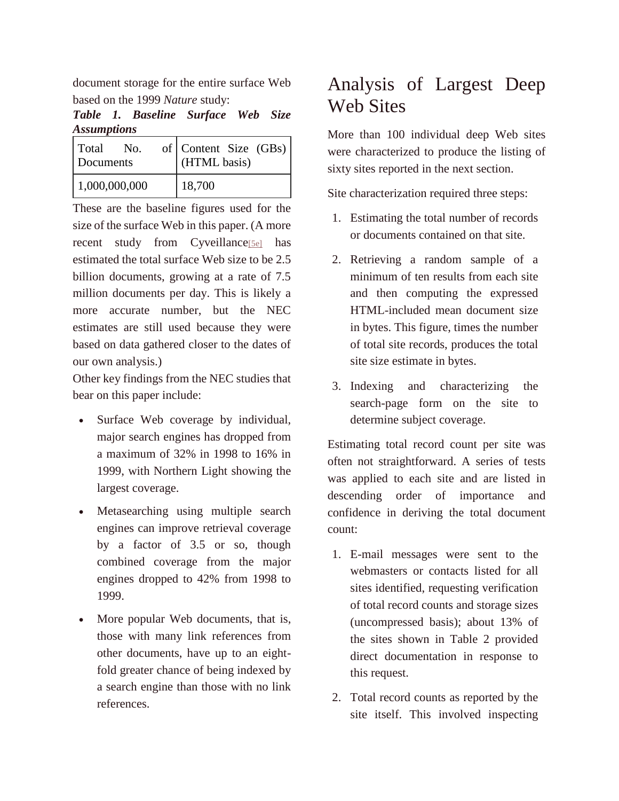document storage for the entire surface Web based on the 1999 *Nature* study:

*Table 1. Baseline Surface Web Size Assumptions*

| Total<br>No.<br>Documents | of $\vert$ Content Size $(GBs) \vert$<br>(HTML basis) |
|---------------------------|-------------------------------------------------------|
| 1,000,000,000             | 18,700                                                |

These are the baseline figures used for the size of the surface Web in this paper. (A more recent study from Cyveillance<sup>[\[5e\]](http://quod.lib.umich.edu/j/jep/3336451.0007.104?view=text;rgn=main#fn5)</sup> has estimated the total surface Web size to be 2.5 billion documents, growing at a rate of 7.5 million documents per day. This is likely a more accurate number, but the NEC estimates are still used because they were based on data gathered closer to the dates of our own analysis.)

Other key findings from the NEC studies that bear on this paper include:

- Surface Web coverage by individual, major search engines has dropped from a maximum of 32% in 1998 to 16% in 1999, with Northern Light showing the largest coverage.
- Metasearching using multiple search engines can improve retrieval coverage by a factor of 3.5 or so, though combined coverage from the major engines dropped to 42% from 1998 to 1999.
- More popular Web documents, that is, those with many link references from other documents, have up to an eightfold greater chance of being indexed by a search engine than those with no link references.

## Analysis of Largest Deep Web Sites

More than 100 individual deep Web sites were characterized to produce the listing of sixty sites reported in the next section.

Site characterization required three steps:

- 1. Estimating the total number of records or documents contained on that site.
- 2. Retrieving a random sample of a minimum of ten results from each site and then computing the expressed HTML-included mean document size in bytes. This figure, times the number of total site records, produces the total site size estimate in bytes.
- 3. Indexing and characterizing the search-page form on the site to determine subject coverage.

Estimating total record count per site was often not straightforward. A series of tests was applied to each site and are listed in descending order of importance and confidence in deriving the total document count:

- 1. E-mail messages were sent to the webmasters or contacts listed for all sites identified, requesting verification of total record counts and storage sizes (uncompressed basis); about 13% of the sites shown in Table 2 provided direct documentation in response to this request.
- 2. Total record counts as reported by the site itself. This involved inspecting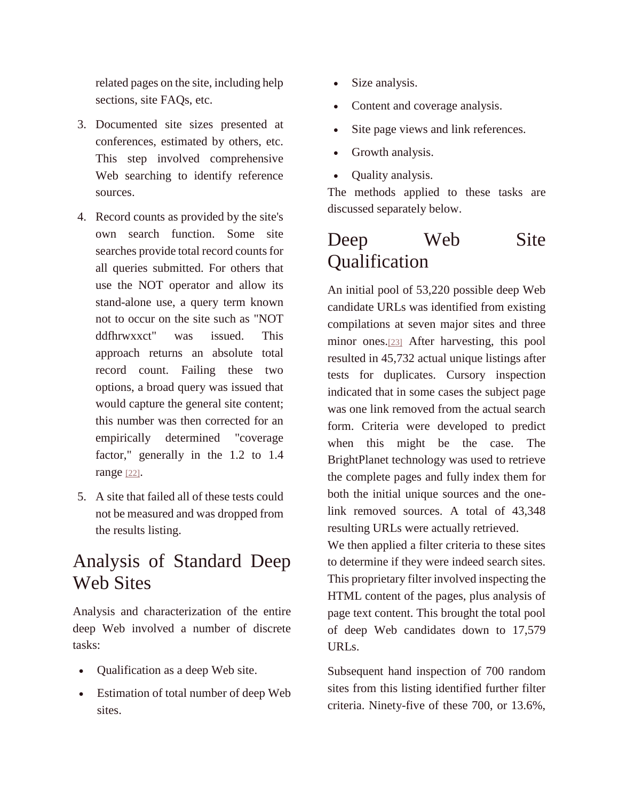related pages on the site, including help sections, site FAQs, etc.

- 3. Documented site sizes presented at conferences, estimated by others, etc. This step involved comprehensive Web searching to identify reference sources.
- 4. Record counts as provided by the site's own search function. Some site searches provide total record counts for all queries submitted. For others that use the NOT operator and allow its stand-alone use, a query term known not to occur on the site such as "NOT ddfhrwxxct" was issued. This approach returns an absolute total record count. Failing these two options, a broad query was issued that would capture the general site content; this number was then corrected for an empirically determined "coverage factor," generally in the 1.2 to 1.4 range [\[22\]](http://quod.lib.umich.edu/j/jep/3336451.0007.104?view=text;rgn=main#fn22).
- 5. A site that failed all of these tests could not be measured and was dropped from the results listing.

### Analysis of Standard Deep Web Sites

Analysis and characterization of the entire deep Web involved a number of discrete tasks:

- Qualification as a deep Web site.
- Estimation of total number of deep Web sites.
- Size analysis.
- Content and coverage analysis.
- Site page views and link references.
- Growth analysis.
- **Quality analysis.**

The methods applied to these tasks are discussed separately below.

## Deep Web Site **Qualification**

An initial pool of 53,220 possible deep Web candidate URLs was identified from existing compilations at seven major sites and three minor ones.[\[23\]](http://quod.lib.umich.edu/j/jep/3336451.0007.104?view=text;rgn=main#fn23) After harvesting, this pool resulted in 45,732 actual unique listings after tests for duplicates. Cursory inspection indicated that in some cases the subject page was one link removed from the actual search form. Criteria were developed to predict when this might be the case. The BrightPlanet technology was used to retrieve the complete pages and fully index them for both the initial unique sources and the onelink removed sources. A total of 43,348 resulting URLs were actually retrieved.

We then applied a filter criteria to these sites to determine if they were indeed search sites. This proprietary filter involved inspecting the HTML content of the pages, plus analysis of page text content. This brought the total pool of deep Web candidates down to 17,579 URLs.

Subsequent hand inspection of 700 random sites from this listing identified further filter criteria. Ninety-five of these 700, or 13.6%,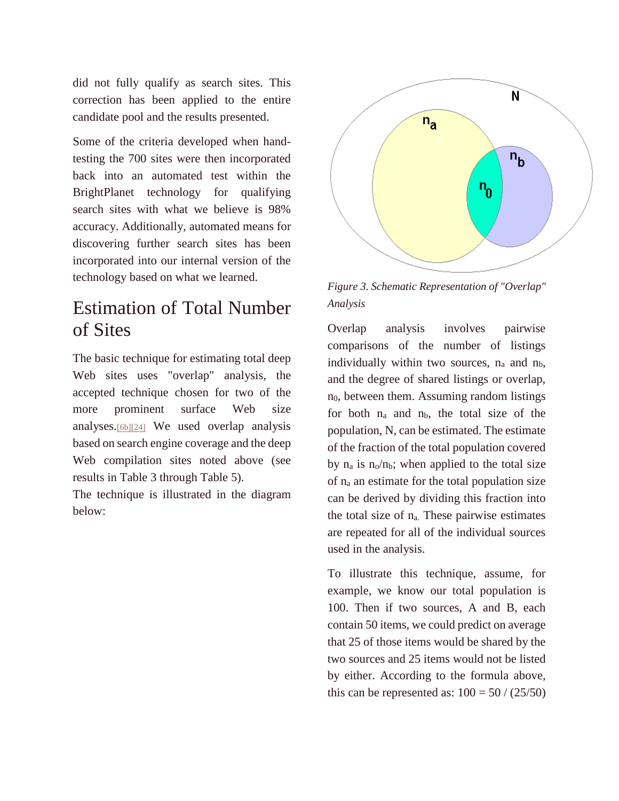did not fully qualify as search sites. This correction has been applied to the entire candidate pool and the results presented.

Some of the criteria developed when handtesting the 700 sites were then incorporated back into an automated test within the BrightPlanet technology for qualifying search sites with what we believe is 98% accuracy. Additionally, automated means for discovering further search sites has been incorporated into our internal version of the technology based on what we learned.

## Estimation of Total Number of Sites

The basic technique for estimating total deep Web sites uses "overlap" analysis, the accepted technique chosen for two of the more prominent surface Web size analyses.[\[6b\]\[24\]](http://quod.lib.umich.edu/j/jep/3336451.0007.104?view=text;rgn=main#fn6) We used overlap analysis based on search engine coverage and the deep Web compilation sites noted above (see results in Table 3 through Table 5).

The technique is illustrated in the diagram below:



*Figure 3. Schematic Representation of "Overlap" Analysis*

Overlap analysis involves pairwise comparisons of the number of listings individually within two sources,  $n_a$  and  $n_b$ , and the degree of shared listings or overlap,  $n<sub>0</sub>$ , between them. Assuming random listings for both  $n_a$  and  $n_b$ , the total size of the population, N, can be estimated. The estimate of the fraction of the total population covered by  $n_a$  is  $n_o/n_b$ ; when applied to the total size of n<sup>a</sup> an estimate for the total population size can be derived by dividing this fraction into the total size of  $n_a$ . These pairwise estimates are repeated for all of the individual sources used in the analysis.

To illustrate this technique, assume, for example, we know our total population is 100. Then if two sources, A and B, each contain 50 items, we could predict on average that 25 of those items would be shared by the two sources and 25 items would not be listed by either. According to the formula above, this can be represented as:  $100 = 50 / (25/50)$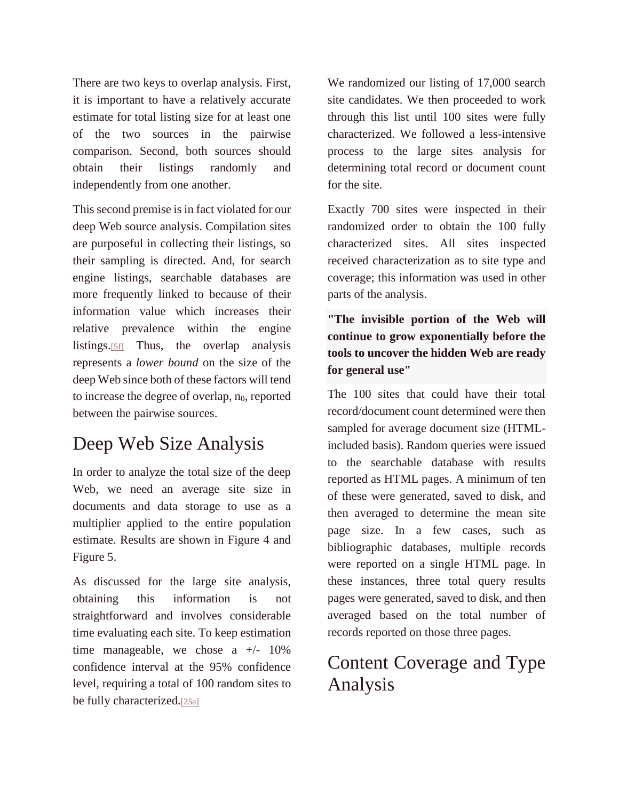There are two keys to overlap analysis. First, it is important to have a relatively accurate estimate for total listing size for at least one of the two sources in the pairwise comparison. Second, both sources should obtain their listings randomly and independently from one another.

This second premise is in fact violated for our deep Web source analysis. Compilation sites are purposeful in collecting their listings, so their sampling is directed. And, for search engine listings, searchable databases are more frequently linked to because of their information value which increases their relative prevalence within the engine listings.[\[5f\]](http://quod.lib.umich.edu/j/jep/3336451.0007.104?view=text;rgn=main#fn5) Thus, the overlap analysis represents a *lower bound* on the size of the deep Web since both of these factors will tend to increase the degree of overlap, n<sub>0</sub>, reported between the pairwise sources.

## Deep Web Size Analysis

In order to analyze the total size of the deep Web, we need an average site size in documents and data storage to use as a multiplier applied to the entire population estimate. Results are shown in Figure 4 and Figure 5.

As discussed for the large site analysis, obtaining this information is not straightforward and involves considerable time evaluating each site. To keep estimation time manageable, we chose a  $+/- 10\%$ confidence interval at the 95% confidence level, requiring a total of 100 random sites to be fully characterized.[\[25a\]](http://quod.lib.umich.edu/j/jep/3336451.0007.104?view=text;rgn=main#fn25)

We randomized our listing of 17,000 search site candidates. We then proceeded to work through this list until 100 sites were fully characterized. We followed a less-intensive process to the large sites analysis for determining total record or document count for the site.

Exactly 700 sites were inspected in their randomized order to obtain the 100 fully characterized sites. All sites inspected received characterization as to site type and coverage; this information was used in other parts of the analysis.

**"The invisible portion of the Web will continue to grow exponentially before the tools to uncover the hidden Web are ready for general use"**

The 100 sites that could have their total record/document count determined were then sampled for average document size (HTMLincluded basis). Random queries were issued to the searchable database with results reported as HTML pages. A minimum of ten of these were generated, saved to disk, and then averaged to determine the mean site page size. In a few cases, such as bibliographic databases, multiple records were reported on a single HTML page. In these instances, three total query results pages were generated, saved to disk, and then averaged based on the total number of records reported on those three pages.

## Content Coverage and Type Analysis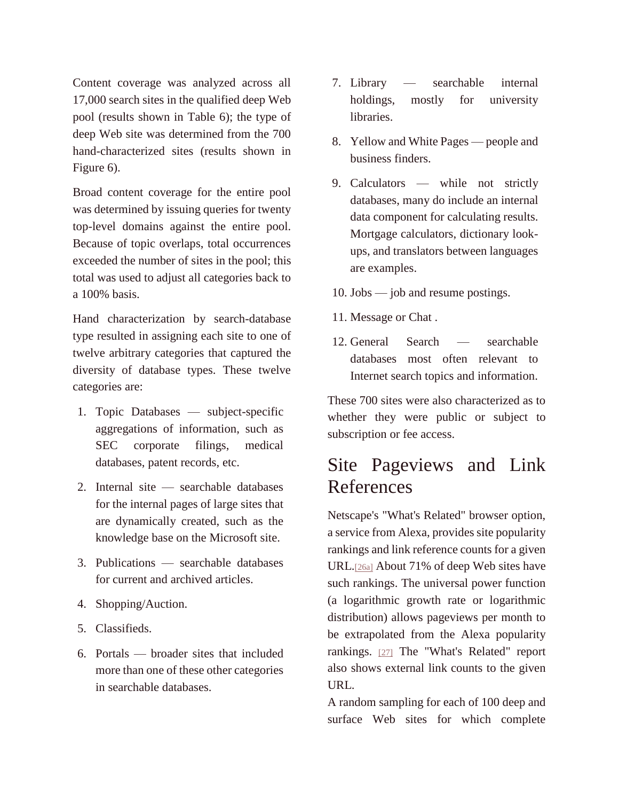Content coverage was analyzed across all 17,000 search sites in the qualified deep Web pool (results shown in Table 6); the type of deep Web site was determined from the 700 hand-characterized sites (results shown in Figure 6).

Broad content coverage for the entire pool was determined by issuing queries for twenty top-level domains against the entire pool. Because of topic overlaps, total occurrences exceeded the number of sites in the pool; this total was used to adjust all categories back to a 100% basis.

Hand characterization by search-database type resulted in assigning each site to one of twelve arbitrary categories that captured the diversity of database types. These twelve categories are:

- 1. Topic Databases subject-specific aggregations of information, such as SEC corporate filings, medical databases, patent records, etc.
- 2. Internal site searchable databases for the internal pages of large sites that are dynamically created, such as the knowledge base on the Microsoft site.
- 3. Publications searchable databases for current and archived articles.
- 4. Shopping/Auction.
- 5. Classifieds.
- 6. Portals broader sites that included more than one of these other categories in searchable databases.
- 7. Library searchable internal holdings, mostly for university libraries.
- 8. Yellow and White Pages people and business finders.
- 9. Calculators while not strictly databases, many do include an internal data component for calculating results. Mortgage calculators, dictionary lookups, and translators between languages are examples.
- 10. Jobs job and resume postings.
- 11. Message or Chat .
- 12. General Search searchable databases most often relevant to Internet search topics and information.

These 700 sites were also characterized as to whether they were public or subject to subscription or fee access.

### Site Pageviews and Link References

Netscape's "What's Related" browser option, a service from Alexa, provides site popularity rankings and link reference counts for a given URL.[\[26a\]](http://quod.lib.umich.edu/j/jep/3336451.0007.104?view=text;rgn=main#fn26) About 71% of deep Web sites have such rankings. The universal power function (a logarithmic growth rate or logarithmic distribution) allows pageviews per month to be extrapolated from the Alexa popularity rankings. [\[27\]](http://quod.lib.umich.edu/j/jep/3336451.0007.104?view=text;rgn=main#fn27) The "What's Related" report also shows external link counts to the given URL.

A random sampling for each of 100 deep and surface Web sites for which complete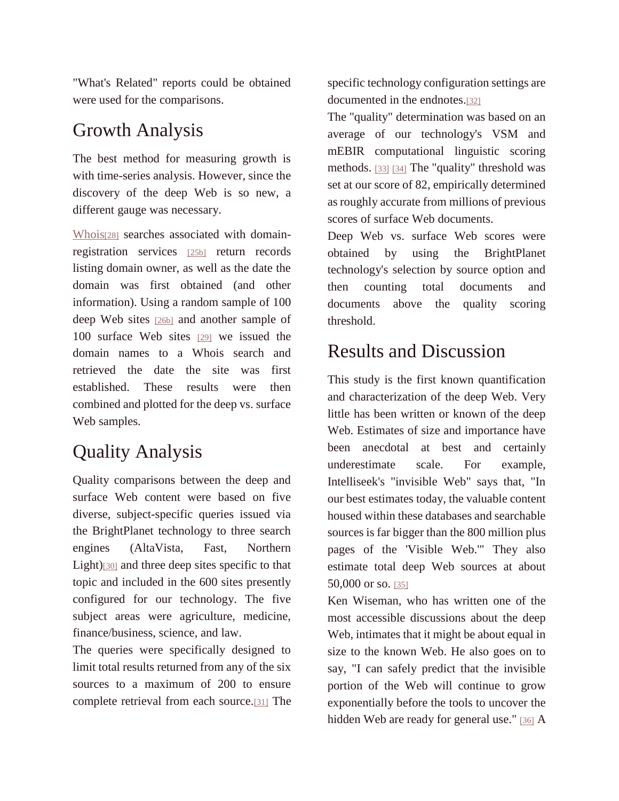"What's Related" reports could be obtained were used for the comparisons.

#### Growth Analysis

The best method for measuring growth is with time-series analysis. However, since the discovery of the deep Web is so new, a different gauge was necessary.

[Whois](http://www.whois.net/)<sup>[\[28\]](http://www.whois.net/)</sup> searches associated with domainregistration services [\[25b\]](http://quod.lib.umich.edu/j/jep/3336451.0007.104?view=text;rgn=main#fn25) return records listing domain owner, as well as the date the domain was first obtained (and other information). Using a random sample of 100 deep Web sites [\[26b\]](http://quod.lib.umich.edu/j/jep/3336451.0007.104?view=text;rgn=main#fn26) and another sample of 100 surface Web sites [\[29\]](http://quod.lib.umich.edu/j/jep/3336451.0007.104?view=text;rgn=main#fn29) we issued the domain names to a Whois search and retrieved the date the site was first established. These results were then combined and plotted for the deep vs. surface Web samples.

## Quality Analysis

Quality comparisons between the deep and surface Web content were based on five diverse, subject-specific queries issued via the BrightPlanet technology to three search engines (AltaVista, Fast, Northern Light)[\[30\]](http://quod.lib.umich.edu/j/jep/3336451.0007.104?view=text;rgn=main#fn30) and three deep sites specific to that topic and included in the 600 sites presently configured for our technology. The five subject areas were agriculture, medicine, finance/business, science, and law.

The queries were specifically designed to limit total results returned from any of the six sources to a maximum of 200 to ensure complete retrieval from each source.[\[31\]](http://quod.lib.umich.edu/j/jep/3336451.0007.104?view=text;rgn=main#fn31) The specific technology configuration settings are documented in the endnotes.[\[32\]](http://quod.lib.umich.edu/j/jep/3336451.0007.104?view=text;rgn=main#fn32)

The "quality" determination was based on an average of our technology's VSM and mEBIR computational linguistic scoring methods. [\[33\]](http://quod.lib.umich.edu/j/jep/3336451.0007.104?view=text;rgn=main#fn33) [\[34\]](http://quod.lib.umich.edu/j/jep/3336451.0007.104?view=text;rgn=main#fn34) The "quality" threshold was set at our score of 82, empirically determined as roughly accurate from millions of previous scores of surface Web documents.

Deep Web vs. surface Web scores were obtained by using the BrightPlanet technology's selection by source option and then counting total documents and documents above the quality scoring threshold.

## Results and Discussion

This study is the first known quantification and characterization of the deep Web. Very little has been written or known of the deep Web. Estimates of size and importance have been anecdotal at best and certainly underestimate scale. For example, Intelliseek's "invisible Web" says that, "In our best estimates today, the valuable content housed within these databases and searchable sources is far bigger than the 800 million plus pages of the 'Visible Web.'" They also estimate total deep Web sources at about 50,000 or so. [\[35\]](http://quod.lib.umich.edu/j/jep/3336451.0007.104?view=text;rgn=main#fn35)

Ken Wiseman, who has written one of the most accessible discussions about the deep Web, intimates that it might be about equal in size to the known Web. He also goes on to say, "I can safely predict that the invisible portion of the Web will continue to grow exponentially before the tools to uncover the hidden Web are ready for general use." [\[36\]](http://quod.lib.umich.edu/j/jep/3336451.0007.104?view=text;rgn=main#fn36) A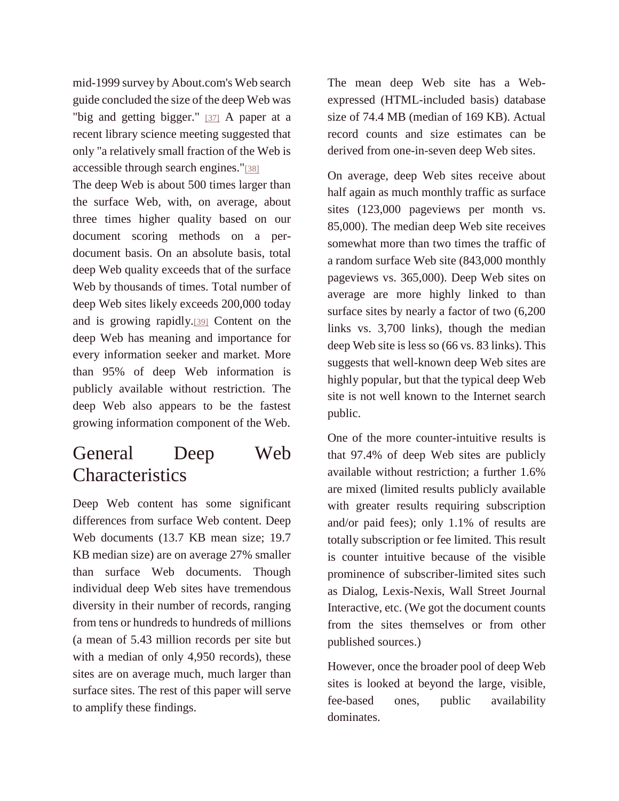mid-1999 survey by About.com's Web search guide concluded the size of the deep Web was "big and getting bigger." [\[37\]](http://quod.lib.umich.edu/j/jep/3336451.0007.104?view=text;rgn=main#fn37) A paper at a recent library science meeting suggested that only "a relatively small fraction of the Web is accessible through search engines."[\[38\]](http://quod.lib.umich.edu/j/jep/3336451.0007.104?view=text;rgn=main#fn38)

The deep Web is about 500 times larger than the surface Web, with, on average, about three times higher quality based on our document scoring methods on a perdocument basis. On an absolute basis, total deep Web quality exceeds that of the surface Web by thousands of times. Total number of deep Web sites likely exceeds 200,000 today and is growing rapidly.[\[39\]](http://quod.lib.umich.edu/j/jep/3336451.0007.104?view=text;rgn=main#fn39) Content on the deep Web has meaning and importance for every information seeker and market. More than 95% of deep Web information is publicly available without restriction. The deep Web also appears to be the fastest growing information component of the Web.

### General Deep Web **Characteristics**

Deep Web content has some significant differences from surface Web content. Deep Web documents (13.7 KB mean size; 19.7 KB median size) are on average 27% smaller than surface Web documents. Though individual deep Web sites have tremendous diversity in their number of records, ranging from tens or hundreds to hundreds of millions (a mean of 5.43 million records per site but with a median of only 4,950 records), these sites are on average much, much larger than surface sites. The rest of this paper will serve to amplify these findings.

The mean deep Web site has a Webexpressed (HTML-included basis) database size of 74.4 MB (median of 169 KB). Actual record counts and size estimates can be derived from one-in-seven deep Web sites.

On average, deep Web sites receive about half again as much monthly traffic as surface sites (123,000 pageviews per month vs. 85,000). The median deep Web site receives somewhat more than two times the traffic of a random surface Web site (843,000 monthly pageviews vs. 365,000). Deep Web sites on average are more highly linked to than surface sites by nearly a factor of two (6,200 links vs. 3,700 links), though the median deep Web site is less so (66 vs. 83 links). This suggests that well-known deep Web sites are highly popular, but that the typical deep Web site is not well known to the Internet search public.

One of the more counter-intuitive results is that 97.4% of deep Web sites are publicly available without restriction; a further 1.6% are mixed (limited results publicly available with greater results requiring subscription and/or paid fees); only 1.1% of results are totally subscription or fee limited. This result is counter intuitive because of the visible prominence of subscriber-limited sites such as Dialog, Lexis-Nexis, Wall Street Journal Interactive, etc. (We got the document counts from the sites themselves or from other published sources.)

However, once the broader pool of deep Web sites is looked at beyond the large, visible, fee-based ones, public availability dominates.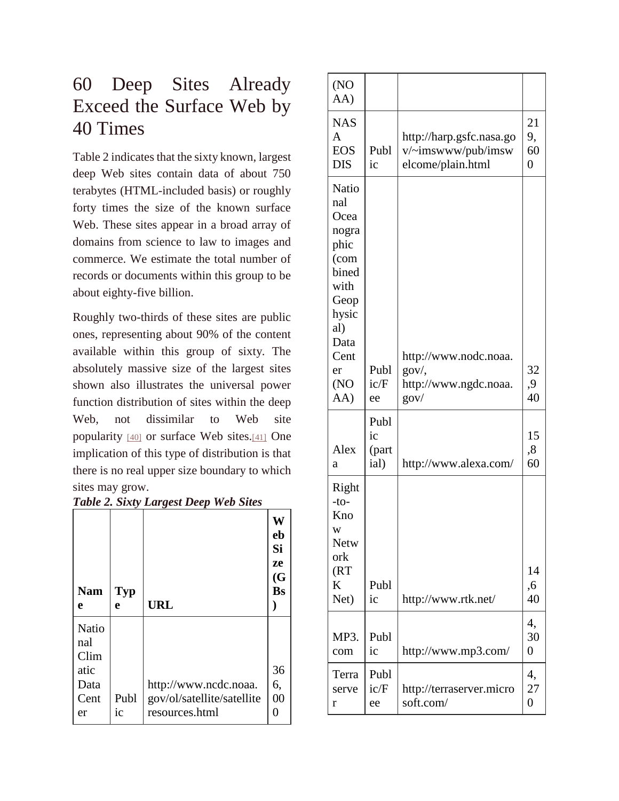## 60 Deep Sites Already Exceed the Surface Web by 40 Times

Table 2 indicates that the sixty known, largest deep Web sites contain data of about 750 terabytes (HTML-included basis) or roughly forty times the size of the known surface Web. These sites appear in a broad array of domains from science to law to images and commerce. We estimate the total number of records or documents within this group to be about eighty-five billion.

Roughly two-thirds of these sites are public ones, representing about 90% of the content available within this group of sixty. The absolutely massive size of the largest sites shown also illustrates the universal power function distribution of sites within the deep Web, not dissimilar to Web site popularity [\[40\]](http://quod.lib.umich.edu/j/jep/3336451.0007.104?view=text;rgn=main#fn40) or surface Web sites.[\[41\]](http://quod.lib.umich.edu/j/jep/3336451.0007.104?view=text;rgn=main#fn41) One implication of this type of distribution is that there is no real upper size boundary to which sites may grow.

|  |  |  | Table 2. Sixty Largest Deep Web Sites |
|--|--|--|---------------------------------------|
|--|--|--|---------------------------------------|

| <b>Nam</b>                   | <b>Typ</b> |                                              | W<br>eb<br>Si<br>ze<br>(G)<br><b>Bs</b> |
|------------------------------|------------|----------------------------------------------|-----------------------------------------|
| e                            | e          | URL                                          |                                         |
| Natio<br>nal<br>Clim<br>atic |            |                                              | 36                                      |
| Data                         |            | http://www.ncdc.noaa.                        | 6,                                      |
| Cent<br>er                   | Publ<br>ic | gov/ol/satellite/satellite<br>resources.html | 00<br>0                                 |

| (NO)<br>AA)                                                                                                  |                             |                                                                     |                                  |
|--------------------------------------------------------------------------------------------------------------|-----------------------------|---------------------------------------------------------------------|----------------------------------|
| <b>NAS</b><br>$\mathsf{A}$<br><b>EOS</b><br><b>DIS</b>                                                       | Publ<br>ic                  | http://harp.gsfc.nasa.go<br>v/~imswww/pub/imsw<br>elcome/plain.html | 21<br>9,<br>60<br>$\overline{0}$ |
| Natio<br>nal<br>Ocea<br>nogra<br>phic<br>(com<br>bined<br>with<br>Geop<br>hysic<br>al)<br>Data<br>Cent<br>er | Publ                        | http://www.nodc.noaa.<br>gov/,                                      | 32                               |
| (NO)<br>AA)                                                                                                  | ic/F<br>ee                  | http://www.ngdc.noaa.<br>gov/                                       | ,9<br>40                         |
| Alex<br>a                                                                                                    | Publ<br>ic<br>(part<br>ial) | http://www.alexa.com/                                               | 15<br>8,<br>60                   |
| Right<br>$-to-$<br>Kno<br>W<br>Netw<br>ork<br>(RT)<br>K<br>Net)                                              | Publ<br>ic                  | http://www.rtk.net/                                                 | 14<br>,6<br>40                   |
| MP3.<br>com                                                                                                  | Publ<br>ic                  | http://www.mp3.com/                                                 | 4,<br>30<br>$\overline{0}$       |
| Terra<br>serve<br>r                                                                                          | Publ<br>ic/F<br>ee          | http://terraserver.micro<br>soft.com/                               | 4,<br>27<br>$\overline{0}$       |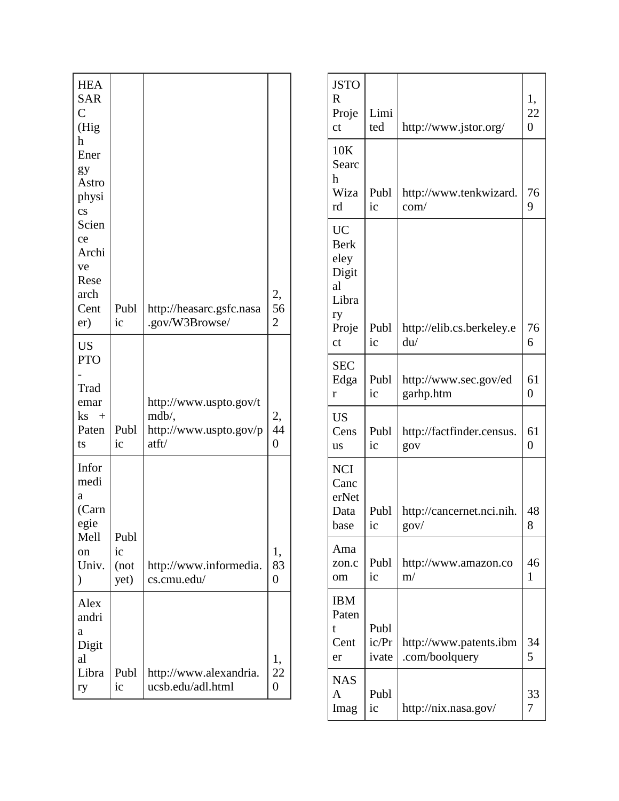| <b>HEA</b><br><b>SAR</b><br>$\overline{C}$<br>(Hig<br>h<br>Ener<br>gy<br>Astro<br>physi<br>$\overline{\text{cs}}$<br>Scien<br>ce<br>Archi |                            |                                                                    |                            |
|-------------------------------------------------------------------------------------------------------------------------------------------|----------------------------|--------------------------------------------------------------------|----------------------------|
| ve<br>Rese<br>arch<br>Cent<br>er)                                                                                                         | Publ<br>ic                 | http://heasarc.gsfc.nasa<br>.gov/W3Browse/                         | 2,<br>56<br>$\overline{c}$ |
| <b>US</b><br><b>PTO</b><br>Trad<br>emar<br>$\mathbf{ks}$ +<br>Paten<br>ts                                                                 | Publ<br>ic                 | http://www.uspto.gov/t<br>mdb/,<br>http://www.uspto.gov/p<br>atft/ | 2,<br>44<br>$\overline{0}$ |
| Infor<br>medi<br>a<br>(Carn<br>egie<br>Mell<br>on<br>Univ.<br>$\mathcal{)}$                                                               | Publ<br>ic<br>(not<br>yet) | http://www.informedia.<br>cs.cmu.edu/                              | 1,<br>83<br>0              |
| Alex<br>andri<br>a<br>Digit<br>al<br>Libra<br>ry                                                                                          | Publ<br>ic                 | http://www.alexandria.<br>ucsb.edu/adl.html                        | 1,<br>22<br>0              |

| <b>JSTO</b><br>$\mathbf R$<br>Proje<br>ct                                     | Limi<br>ted            | http://www.jstor.org/                    | 1,<br>22<br>$\overline{0}$ |
|-------------------------------------------------------------------------------|------------------------|------------------------------------------|----------------------------|
| 10K<br>Searc<br>h<br>Wiza<br>rd                                               | Publ<br>ic             | http://www.tenkwizard.<br>com/           | 76<br>9                    |
| <b>UC</b><br><b>Berk</b><br>eley<br>Digit<br>al<br>Libra<br>ry<br>Proje<br>ct | Publ<br>ic             | http://elib.cs.berkeley.e<br>du/         | 76<br>6                    |
| <b>SEC</b><br>Edga<br>r                                                       | Publ<br>ic             | http://www.sec.gov/ed<br>garhp.htm       | 61<br>$\overline{0}$       |
| <b>US</b><br>Cens<br>us                                                       | Publ<br>ic             | http://factfinder.census.<br>gov         | 61<br>$\overline{0}$       |
| <b>NCI</b><br>Canc<br>erNet<br>Data<br>base                                   | Publ<br>ic             | http://cancernet.nci.nih.<br>gov/        | 48<br>8                    |
| Ama<br>zon.c<br>om                                                            | Publ<br>ic             | http://www.amazon.co<br>m/               | 46<br>1                    |
| <b>IBM</b><br>Paten<br>t<br>Cent<br>er                                        | Publ<br>ic/Pr<br>ivate | http://www.patents.ibm<br>.com/boolquery | 34<br>5                    |
| <b>NAS</b><br>A<br>Imag                                                       | Publ<br>ic             | http://nix.nasa.gov/                     | 33<br>7                    |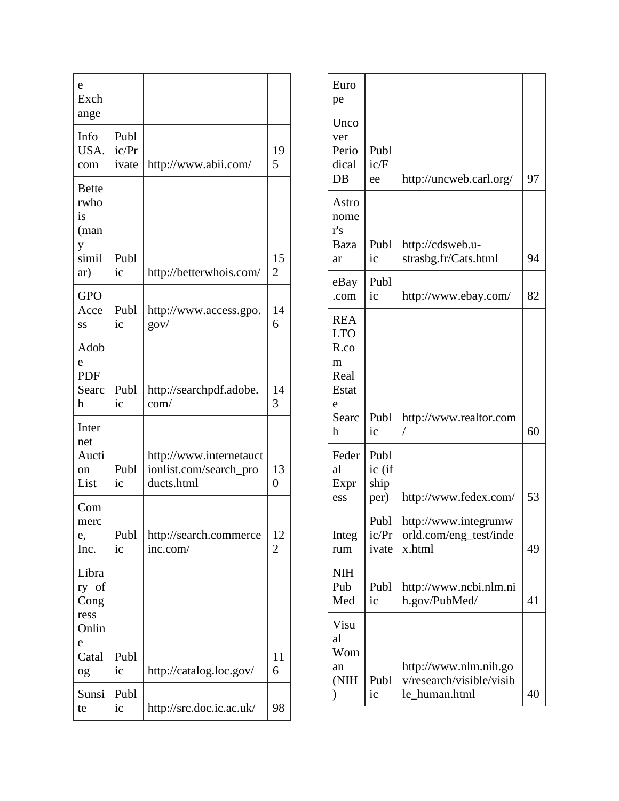| e<br>Exch<br>ange                            |                        |                                                                 |                      |
|----------------------------------------------|------------------------|-----------------------------------------------------------------|----------------------|
| Info<br>USA.<br>com                          | Publ<br>ic/Pr<br>ivate | http://www.abii.com/                                            | 19<br>5              |
| <b>Bette</b><br>rwho<br>is<br>(man<br>y      |                        |                                                                 |                      |
| simil<br>ar)                                 | Publ<br>ic             | http://betterwhois.com/                                         | 15<br>$\overline{2}$ |
| <b>GPO</b><br>Acce<br>SS                     | Publ<br>ic             | http://www.access.gpo.<br>$g$ ov/                               | 14<br>6              |
| Adob<br>e<br><b>PDF</b><br>Searc<br>h        | Publ<br>ic             | http://searchpdf.adobe.<br>com/                                 | 14<br>3              |
| Inter<br>net<br>Aucti<br>on<br>List          | Publ<br>ic             | http://www.internetauct<br>ionlist.com/search_pro<br>ducts.html | 13<br>$\overline{0}$ |
| Com<br>merc<br>e,<br>Inc.                    | Publ<br>ic             | http://search.commerce<br>inc.com/                              | 12<br>2              |
| Libra<br>ry of<br>Cong<br>ress<br>Onlin<br>e |                        |                                                                 |                      |
| Catal<br>og                                  | Publ<br>ic             | http://catalog.loc.gov/                                         | 11<br>6              |
| Sunsi<br>te                                  | Publ<br>ic             | http://src.doc.ic.ac.uk/                                        | 98                   |

| Euro<br>pe                                                           |                                |                                                                    |    |
|----------------------------------------------------------------------|--------------------------------|--------------------------------------------------------------------|----|
| Unco<br>ver<br>Perio<br>dical<br>DB                                  | Publ<br>ic/F<br>ee             | http://uncweb.carl.org/                                            | 97 |
| Astro<br>nome<br>r's<br>Baza<br>ar                                   | Publ<br>ic                     | http://cdsweb.u-<br>strasbg.fr/Cats.html                           | 94 |
| eBay<br>.com                                                         | Publ<br>ic                     | http://www.ebay.com/                                               | 82 |
| <b>REA</b><br><b>LTO</b><br>R.co<br>m<br>Real<br>Estat<br>e<br>Searc | Publ                           | http://www.realtor.com                                             |    |
| h                                                                    | ic                             | Т                                                                  | 60 |
| Feder<br>al<br>Expr<br>ess                                           | Publ<br>ic (if<br>ship<br>per) | http://www.fedex.com/                                              | 53 |
| Integ<br>rum                                                         | Publ<br>ic/Pr<br>ivate         | http://www.integrumw<br>orld.com/eng_test/inde<br>x.html           | 49 |
| <b>NIH</b><br>Pub<br>Med                                             | Publ<br>ic                     | http://www.ncbi.nlm.ni<br>h.gov/PubMed/                            | 41 |
| Visu<br>al<br>Wom<br>an<br>(NIH<br>⟩                                 | Publ<br>ic                     | http://www.nlm.nih.go<br>v/research/visible/visib<br>le_human.html | 40 |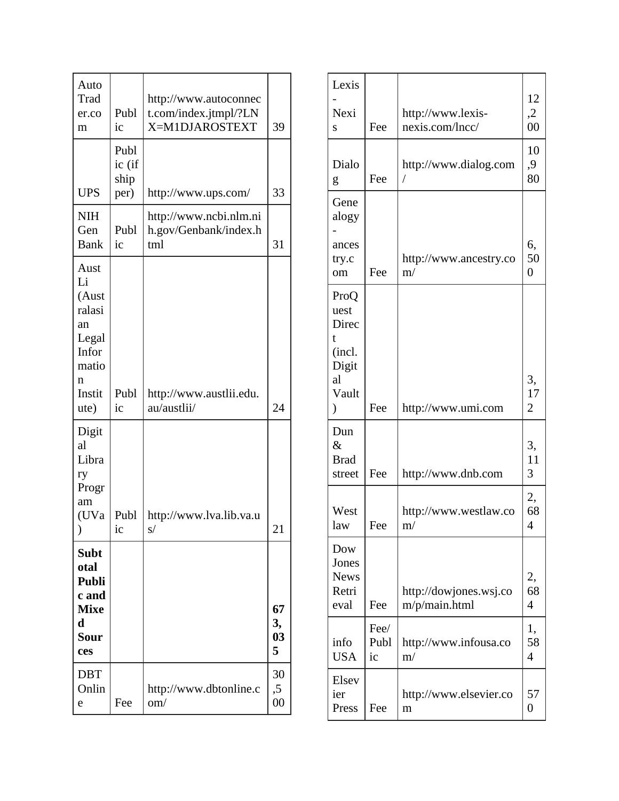| Auto<br>Trad<br>er.co<br>m                                                            | Publ<br>ic                     | http://www.autoconnec<br>t.com/index.jtmpl/?LN<br>X=M1DJAROSTEXT | 39                  |
|---------------------------------------------------------------------------------------|--------------------------------|------------------------------------------------------------------|---------------------|
| <b>UPS</b>                                                                            | Publ<br>ic (if<br>ship<br>per) | http://www.ups.com/                                              | 33                  |
| <b>NIH</b><br>Gen<br><b>Bank</b>                                                      | Publ<br>ic                     | http://www.ncbi.nlm.ni<br>h.gov/Genbank/index.h<br>tml           | 31                  |
| Aust<br>Li<br>(Aust<br>ralasi<br>an<br>Legal<br>Infor<br>matio<br>n<br>Instit<br>ute) | Publ<br>ic                     | http://www.austlii.edu.<br>au/austlii/                           | 24                  |
| Digit<br>al<br>Libra<br>ry<br>Progr<br>am<br>(UVa<br>$\mathcal{Y}$                    | Publ<br>1 <sup>C</sup>         | http://www.lva.lib.va.u<br>s/                                    | 21                  |
| <b>Subt</b><br>otal<br><b>Publi</b><br>c and<br><b>Mixe</b><br>d<br>Sour<br>ces       |                                |                                                                  | 67<br>3,<br>03<br>5 |
| <b>DBT</b><br>Onlin<br>e                                                              | Fee                            | http://www.dbtonline.c<br>om/                                    | 30<br>,5<br>$00\,$  |

| Lexis                                         |                    |                                      |                            |
|-----------------------------------------------|--------------------|--------------------------------------|----------------------------|
| Nexi<br>S                                     | Fee                | http://www.lexis-<br>nexis.com/lncc/ | 12<br>$\overline{2}$<br>00 |
| Dialo<br>g                                    | Fee                | http://www.dialog.com                | 10<br>,9<br>80             |
| Gene<br>alogy<br>ances<br>try.c               |                    | http://www.ancestry.co               | 6,<br>50                   |
| om                                            | Fee                | m/                                   | $\overline{0}$             |
| ProQ<br>uest<br>Direc<br>t<br>(incl.<br>Digit |                    |                                      |                            |
| al                                            |                    |                                      | 3,                         |
| Vault<br>$\mathcal{E}$                        | Fee                | http://www.umi.com                   | 17<br>$\overline{2}$       |
| Dun<br>$\&$<br><b>Brad</b><br>street          | Fee                | http://www.dnb.com                   | 3,<br>11<br>3              |
| West<br>law                                   | Fee                | http://www.westlaw.co<br>m/          | 2,<br>68<br>4              |
| Dow<br>Jones<br><b>News</b><br>Retri<br>eval  |                    | http://dowjones.wsj.co               | 2,<br>68                   |
|                                               | Fee                | m/p/main.html                        | $\overline{4}$             |
| info<br><b>USA</b>                            | Fee/<br>Publ<br>ic | http://www.infousa.co<br>m/          | 1,<br>58<br>4              |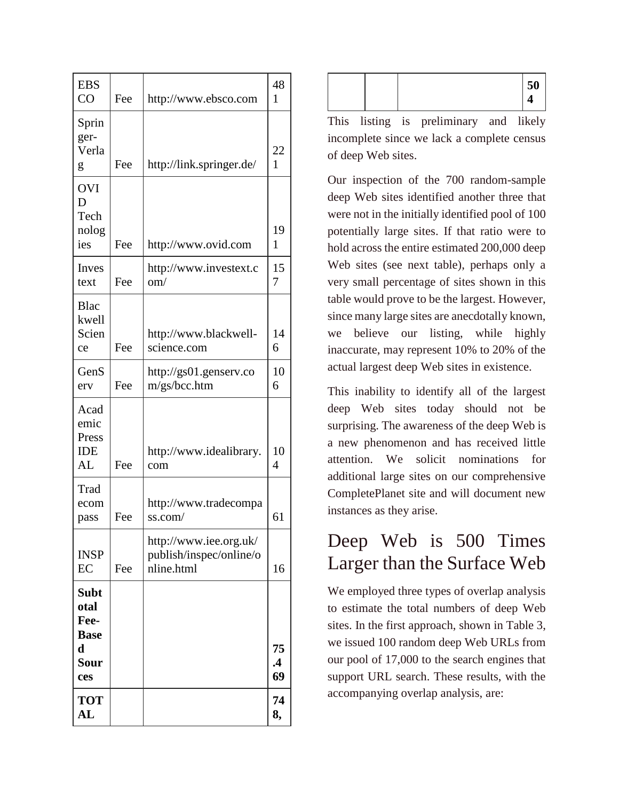| <b>EBS</b><br>CO                                                         | Fee | http://www.ebsco.com                                            | 48<br>1               |
|--------------------------------------------------------------------------|-----|-----------------------------------------------------------------|-----------------------|
| Sprin<br>ger-<br>Verla<br>g                                              | Fee | http://link.springer.de/                                        | 22<br>1               |
| <b>OVI</b><br>D<br>Tech<br>nolog<br>ies                                  | Fee | http://www.ovid.com                                             | 19<br>1               |
| Inves<br>text                                                            | Fee | http://www.investext.c<br>$\text{om}/$                          | 15<br>7               |
| <b>Blac</b><br>kwell<br>Scien<br>ce                                      | Fee | http://www.blackwell-<br>science.com                            | 14<br>6               |
| GenS<br>erv                                                              | Fee | http://gs01.genserv.co<br>m/gs/bcc.htm                          | 10<br>6               |
| Acad<br>emic<br>Press<br>IDE<br>AL                                       | Fee | http://www.idealibrary.<br>com                                  | 10<br>4               |
| Trad<br>ecom<br>pass                                                     | Fee | http://www.tradecompa<br>ss.com/                                | 61                    |
| <b>INSP</b><br>EC                                                        | Fee | http://www.iee.org.uk/<br>publish/inspec/online/o<br>nline.html | 16                    |
| <b>Subt</b><br>otal<br>Fee-<br><b>Base</b><br>$\mathbf d$<br>Sour<br>ces |     |                                                                 | 75<br>$\cdot$ 4<br>69 |
| <b>TOT</b><br>AL                                                         |     |                                                                 | 74<br>8,              |

| IJυ |
|-----|
|-----|

This listing is preliminary and likely incomplete since we lack a complete census of deep Web sites.

Our inspection of the 700 random-sample deep Web sites identified another three that were not in the initially identified pool of 100 potentially large sites. If that ratio were to hold across the entire estimated 200,000 deep Web sites (see next table), perhaps only a very small percentage of sites shown in this table would prove to be the largest. However, since many large sites are anecdotally known, we believe our listing, while highly inaccurate, may represent 10% to 20% of the actual largest deep Web sites in existence.

This inability to identify all of the largest deep Web sites today should not be surprising. The awareness of the deep Web is a new phenomenon and has received little attention. We solicit nominations for additional large sites on our comprehensive CompletePlanet site and will document new instances as they arise.

#### Deep Web is 500 Times Larger than the Surface Web

We employed three types of overlap analysis to estimate the total numbers of deep Web sites. In the first approach, shown in Table 3, we issued 100 random deep Web URLs from our pool of 17,000 to the search engines that support URL search. These results, with the accompanying overlap analysis, are: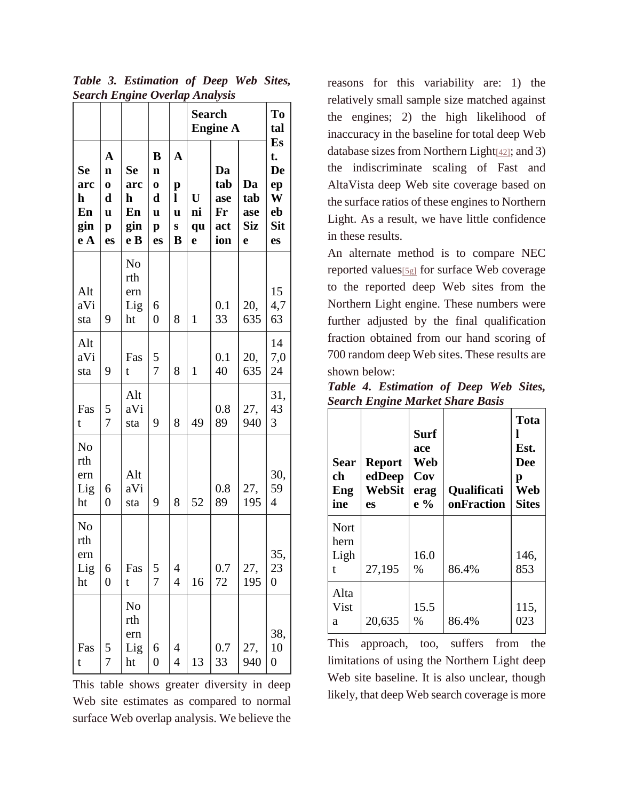| Search Engine Overlap Analysis            |                                                                        |                                    |                                                              |                                      | <b>Search</b><br><b>Engine A</b> |                                      | To<br>tal                    |                                                     |
|-------------------------------------------|------------------------------------------------------------------------|------------------------------------|--------------------------------------------------------------|--------------------------------------|----------------------------------|--------------------------------------|------------------------------|-----------------------------------------------------|
| Se<br>arc<br>h<br>En<br>gin<br>e A        | $\mathbf A$<br>$\mathbf n$<br>$\bf{0}$<br>d<br>u<br>$\mathbf{p}$<br>es | Se<br>arc<br>h<br>En<br>gin<br>e B | B<br>$\mathbf n$<br>$\bf{0}$<br>d<br>u<br>$\mathbf{p}$<br>es | $\mathbf A$<br>p<br>l<br>U<br>S<br>B | U<br>ni<br>qu<br>e               | Da<br>tab<br>ase<br>Fr<br>act<br>ion | Da<br>tab<br>ase<br>Siz<br>e | Es<br>t.<br>De<br>ep<br>W<br>eb<br><b>Sit</b><br>es |
| Alt<br>aVi<br>sta                         | 9                                                                      | No<br>rth<br>ern<br>Lig<br>ht      | 6<br>$\overline{0}$                                          | 8                                    | $\mathbf{1}$                     | 0.1<br>33                            | 20,<br>635                   | 15<br>4,7<br>63                                     |
| Alt<br>aVi<br>sta                         | 9                                                                      | Fas<br>t                           | 5<br>$\overline{7}$                                          | 8                                    | $\mathbf{1}$                     | 0.1<br>40                            | 20,<br>635                   | 14<br>7,0<br>24                                     |
| Fas<br>t                                  | 5<br>$\overline{7}$                                                    | Alt<br>aVi<br>sta                  | 9                                                            | 8                                    | 49                               | 0.8<br>89                            | 27,<br>940                   | 31,<br>43<br>3                                      |
| N <sub>o</sub><br>rth<br>ern<br>Lig<br>ht | 6<br>$\overline{0}$                                                    | Alt<br>aVi<br>sta                  | 9                                                            | 8                                    | 52                               | 0.8<br>89                            | 27,<br>195                   | 30,<br>59<br>$\overline{4}$                         |
| N <sub>o</sub><br>rth<br>ern<br>Lig<br>ht | 6<br>0                                                                 | Fas<br>t                           | 5<br>$\overline{7}$                                          | 4<br>$\overline{4}$                  | 16                               | 0.7<br>72                            | 27,<br>195                   | 35,<br>23<br>$\overline{0}$                         |
| Fas<br>t                                  | 5<br>7                                                                 | No<br>rth<br>ern<br>Lig<br>ht      | 6<br>$\overline{0}$                                          | 4<br>$\overline{4}$                  | 13                               | 0.7<br>33                            | 27,<br>940                   | 38,<br>10<br>$\overline{0}$                         |

*Table 3. Estimation of Deep Web Sites, Search Engine Overlap Analysis*

This table shows greater diversity in deep Web site estimates as compared to normal surface Web overlap analysis. We believe the

reasons for this variability are: 1) the relatively small sample size matched against the engines; 2) the high likelihood of inaccuracy in the baseline for total deep Web database sizes from Northern Light[\[42\]](http://quod.lib.umich.edu/j/jep/3336451.0007.104?view=text;rgn=main#fn42); and 3) the indiscriminate scaling of Fast and AltaVista deep Web site coverage based on the surface ratios of these engines to Northern Light. As a result, we have little confidence in these results.

An alternate method is to compare NEC reported values[\[5g\]](http://quod.lib.umich.edu/j/jep/3336451.0007.104?view=text;rgn=main#fn5) for surface Web coverage to the reported deep Web sites from the Northern Light engine. These numbers were further adjusted by the final qualification fraction obtained from our hand scoring of 700 random deep Web sites. These results are shown below:

|  | Table 4. Estimation of Deep Web Sites,  |  |  |
|--|-----------------------------------------|--|--|
|  | <b>Search Engine Market Share Basis</b> |  |  |

| Sear<br>ch<br>Eng<br>ine  | <b>Report</b><br>edDeep<br>WebSit<br>es | <b>Surf</b><br>ace<br>Web<br>Cov<br>erag<br>$e\%$ | Qualificati<br>onFraction | <b>Tota</b><br>Est.<br><b>Dee</b><br>p<br>Web<br><b>Sites</b> |
|---------------------------|-----------------------------------------|---------------------------------------------------|---------------------------|---------------------------------------------------------------|
| Nort<br>hern<br>Ligh<br>t | 27,195                                  | 16.0<br>$\%$                                      | 86.4%                     | 146.<br>853                                                   |
| Alta<br>Vist<br>a         | 20,635                                  | 15.5<br>%                                         | 86.4%                     | 115,<br>023                                                   |

This approach, too, suffers from the limitations of using the Northern Light deep Web site baseline. It is also unclear, though likely, that deep Web search coverage is more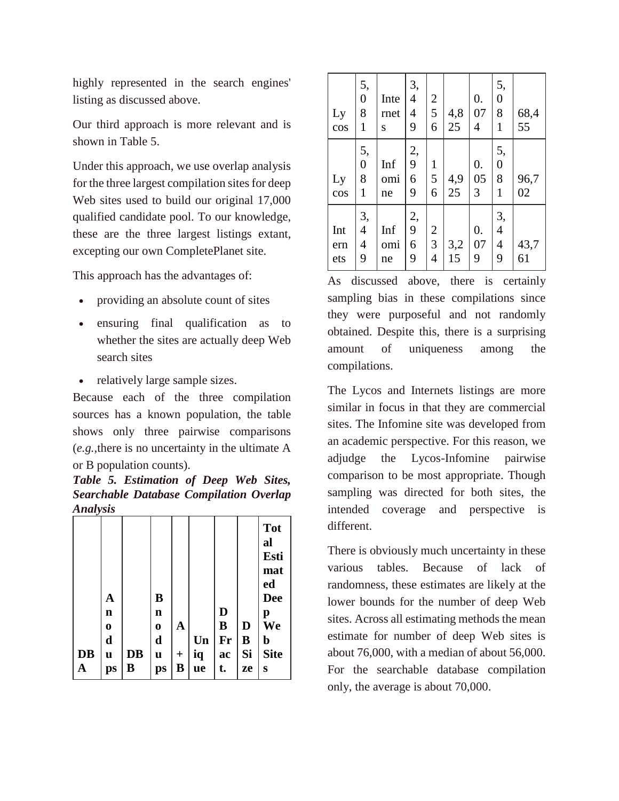highly represented in the search engines' listing as discussed above.

Our third approach is more relevant and is shown in Table 5.

Under this approach, we use overlap analysis for the three largest compilation sites for deep Web sites used to build our original 17,000 qualified candidate pool. To our knowledge, these are the three largest listings extant, excepting our own CompletePlanet site.

This approach has the advantages of:

- providing an absolute count of sites
- ensuring final qualification as to whether the sites are actually deep Web search sites
- relatively large sample sizes.

Because each of the three compilation sources has a known population, the table shows only three pairwise comparisons (*e.g.,*there is no uncertainty in the ultimate A or B population counts).

*Table 5. Estimation of Deep Web Sites, Searchable Database Compilation Overlap Analysis*

|           |             |    |             |                  |    |    |    | <b>Tot</b><br>al<br>Esti     |
|-----------|-------------|----|-------------|------------------|----|----|----|------------------------------|
|           |             |    |             |                  |    |    |    | mat<br>ed                    |
|           | A           |    | B           |                  |    |    |    | <b>Dee</b>                   |
|           | $\mathbf n$ |    | $\mathbf n$ |                  |    | D  |    | p                            |
|           | $\bf{0}$    |    | $\bf{0}$    | A                |    | B  | D  | $\mathbf{\bar{W}}\mathbf{e}$ |
|           | d           |    | $\mathbf d$ |                  | Un | Fr | B  | b                            |
| <b>DB</b> | u           | DB | u           | $\boldsymbol{+}$ | iq | ac | Si | <b>Site</b>                  |
| A         | ps          | B  | ps          | B                | ue | t. | ze | S                            |

| Ly<br>cos         | 5,<br>$\boldsymbol{0}$<br>8<br>$\mathbf{1}$ | Inte<br>rnet<br>S | 3,<br>$\overline{4}$<br>$\overline{4}$<br>9 | $\overline{c}$<br>5<br>6                           | 4,8<br>25 | 0.<br>07<br>4                 | 5,<br>$\boldsymbol{0}$<br>8<br>$\mathbf{1}$ | 68,4<br>55 |
|-------------------|---------------------------------------------|-------------------|---------------------------------------------|----------------------------------------------------|-----------|-------------------------------|---------------------------------------------|------------|
| Ly<br>cos         | 5,<br>$\overline{0}$<br>8<br>$\mathbf{1}$   | Inf<br>omi<br>ne  | 2,<br>9<br>6<br>9                           | $\mathbf{1}$<br>5<br>6                             | 4,9<br>25 | $\boldsymbol{0}$ .<br>05<br>3 | 5,<br>$\boldsymbol{0}$<br>8<br>1            | 96,7<br>02 |
| Int<br>ern<br>ets | 3,<br>$\overline{4}$<br>$\overline{4}$<br>9 | Inf<br>omi<br>ne  | 2,<br>9<br>6<br>9                           | $\overline{c}$<br>$\overline{3}$<br>$\overline{4}$ | 3,2<br>15 | 0.<br>07<br>9                 | 3,<br>$\overline{4}$<br>$\overline{4}$<br>9 | 43,7<br>61 |

As discussed above, there is certainly sampling bias in these compilations since they were purposeful and not randomly obtained. Despite this, there is a surprising amount of uniqueness among the compilations.

The Lycos and Internets listings are more similar in focus in that they are commercial sites. The Infomine site was developed from an academic perspective. For this reason, we adjudge the Lycos-Infomine pairwise comparison to be most appropriate. Though sampling was directed for both sites, the intended coverage and perspective is different.

There is obviously much uncertainty in these various tables. Because of lack of randomness, these estimates are likely at the lower bounds for the number of deep Web sites. Across all estimating methods the mean estimate for number of deep Web sites is about 76,000, with a median of about 56,000. For the searchable database compilation only, the average is about 70,000.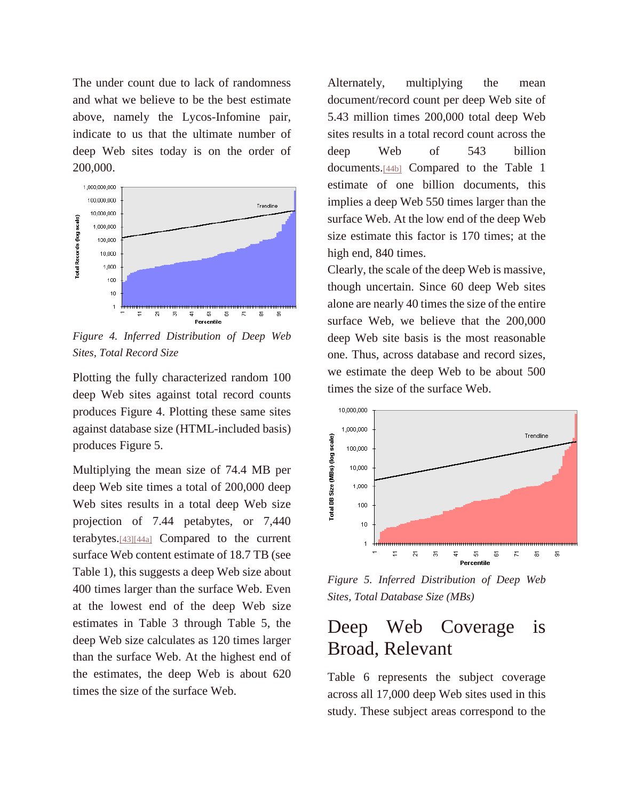The under count due to lack of randomness and what we believe to be the best estimate above, namely the Lycos-Infomine pair, indicate to us that the ultimate number of deep Web sites today is on the order of 200,000.



*Figure 4. Inferred Distribution of Deep Web Sites, Total Record Size*

Plotting the fully characterized random 100 deep Web sites against total record counts produces Figure 4. Plotting these same sites against database size (HTML-included basis) produces Figure 5.

Multiplying the mean size of 74.4 MB per deep Web site times a total of 200,000 deep Web sites results in a total deep Web size projection of 7.44 petabytes, or 7,440 terabytes.[\[43\]\[44a\]](http://quod.lib.umich.edu/j/jep/3336451.0007.104?view=text;rgn=main#fn43) Compared to the current surface Web content estimate of 18.7 TB (see Table 1), this suggests a deep Web size about 400 times larger than the surface Web. Even at the lowest end of the deep Web size estimates in Table 3 through Table 5, the deep Web size calculates as 120 times larger than the surface Web. At the highest end of the estimates, the deep Web is about 620 times the size of the surface Web.

Alternately, multiplying the mean document/record count per deep Web site of 5.43 million times 200,000 total deep Web sites results in a total record count across the deep Web of 543 billion documents.[\[44b\]](http://quod.lib.umich.edu/j/jep/3336451.0007.104?view=text;rgn=main#fn44) Compared to the Table 1 estimate of one billion documents, this implies a deep Web 550 times larger than the surface Web. At the low end of the deep Web size estimate this factor is 170 times; at the high end, 840 times.

Clearly, the scale of the deep Web is massive, though uncertain. Since 60 deep Web sites alone are nearly 40 times the size of the entire surface Web, we believe that the 200,000 deep Web site basis is the most reasonable one. Thus, across database and record sizes, we estimate the deep Web to be about 500 times the size of the surface Web.



*Figure 5. Inferred Distribution of Deep Web Sites, Total Database Size (MBs)*

#### Deep Web Coverage is Broad, Relevant

Table 6 represents the subject coverage across all 17,000 deep Web sites used in this study. These subject areas correspond to the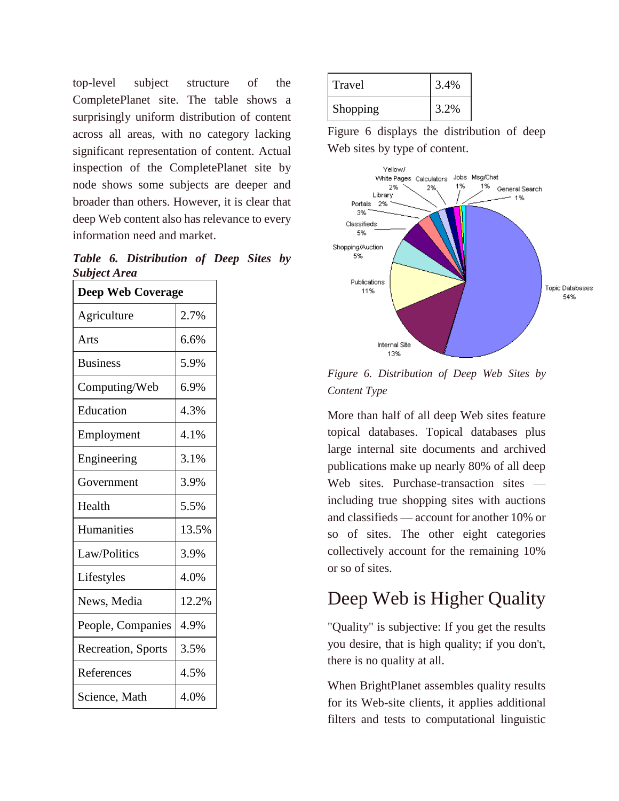top-level subject structure of the CompletePlanet site. The table shows a surprisingly uniform distribution of content across all areas, with no category lacking significant representation of content. Actual inspection of the CompletePlanet site by node shows some subjects are deeper and broader than others. However, it is clear that deep Web content also has relevance to every information need and market.

*Table 6. Distribution of Deep Sites by Subject Area*

| <b>Deep Web Coverage</b> |       |  |  |  |  |  |
|--------------------------|-------|--|--|--|--|--|
| Agriculture              | 2.7%  |  |  |  |  |  |
| Arts                     | 6.6%  |  |  |  |  |  |
| <b>Business</b>          | 5.9%  |  |  |  |  |  |
| Computing/Web            | 6.9%  |  |  |  |  |  |
| Education                | 4.3%  |  |  |  |  |  |
| Employment               | 4.1%  |  |  |  |  |  |
| Engineering              | 3.1%  |  |  |  |  |  |
| Government               | 3.9%  |  |  |  |  |  |
| Health                   | 5.5%  |  |  |  |  |  |
| Humanities               | 13.5% |  |  |  |  |  |
| Law/Politics             | 3.9%  |  |  |  |  |  |
| Lifestyles               | 4.0%  |  |  |  |  |  |
| News, Media              | 12.2% |  |  |  |  |  |
| People, Companies        | 4.9%  |  |  |  |  |  |
| Recreation, Sports       | 3.5%  |  |  |  |  |  |
| References               | 4.5%  |  |  |  |  |  |
| Science, Math            | 4.0%  |  |  |  |  |  |

| Travel   | 3.4% |
|----------|------|
| Shopping | 3.2% |

Figure 6 displays the distribution of deep Web sites by type of content.



*Figure 6. Distribution of Deep Web Sites by Content Type*

More than half of all deep Web sites feature topical databases. Topical databases plus large internal site documents and archived publications make up nearly 80% of all deep Web sites. Purchase-transaction sites including true shopping sites with auctions and classifieds — account for another 10% or so of sites. The other eight categories collectively account for the remaining 10% or so of sites.

## Deep Web is Higher Quality

"Quality" is subjective: If you get the results you desire, that is high quality; if you don't, there is no quality at all.

When BrightPlanet assembles quality results for its Web-site clients, it applies additional filters and tests to computational linguistic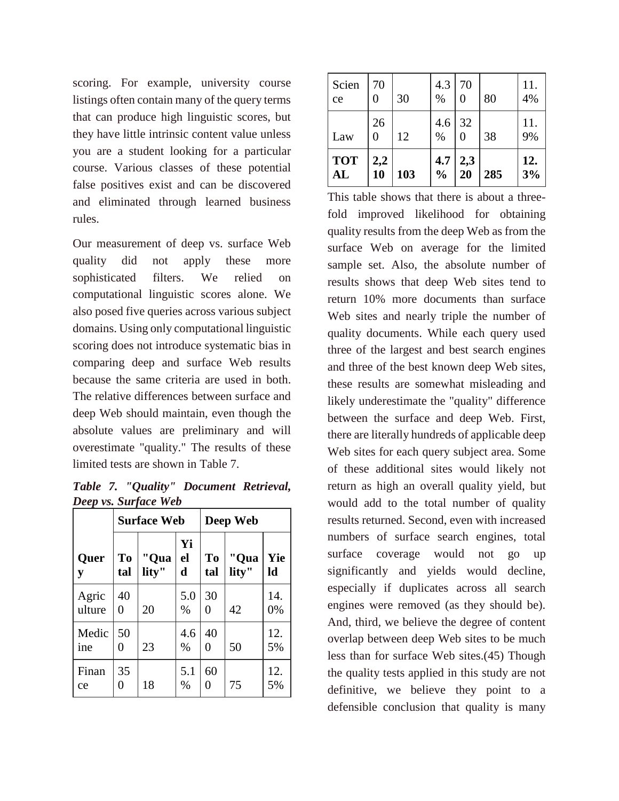scoring. For example, university course listings often contain many of the query terms that can produce high linguistic scores, but they have little intrinsic content value unless you are a student looking for a particular course. Various classes of these potential false positives exist and can be discovered and eliminated through learned business rules.

Our measurement of deep vs. surface Web quality did not apply these more sophisticated filters. We relied on computational linguistic scores alone. We also posed five queries across various subject domains. Using only computational linguistic scoring does not introduce systematic bias in comparing deep and surface Web results because the same criteria are used in both. The relative differences between surface and deep Web should maintain, even though the absolute values are preliminary and will overestimate "quality." The results of these limited tests are shown in Table 7.

*Table 7. "Quality" Document Retrieval, Deep vs. Surface Web*

|                 |           | <b>Surface Web</b> |                         | Deep Web              |               |           |  |
|-----------------|-----------|--------------------|-------------------------|-----------------------|---------------|-----------|--|
| Quer<br>y       | To<br>tal | "Qua<br>lity"      | Yi<br>el<br>$\mathbf d$ | T <sub>o</sub><br>tal | "Qua<br>lity" | Yie<br>ld |  |
| Agric<br>ulture | 40<br>0   | 20                 | 5.0<br>$\%$             | 30<br>0               | 42            | 14.<br>0% |  |
| Medic<br>ine    | 50<br>0   | 23                 | 4.6<br>$\%$             | 40<br>0               | 50            | 12.<br>5% |  |
| Finan<br>ce     | 35<br>0   | 18                 | 5.1<br>$\%$             | 60<br>0               | 75            | 12.<br>5% |  |

| Scien<br>ce      | 70<br>0<br>26 | 30  | 4.3<br>%<br>$4.6 \mid$ | 70<br>0<br>32 | 80  | 11.<br>4%<br>11. |
|------------------|---------------|-----|------------------------|---------------|-----|------------------|
| Law              | 0             | 12  | %                      | 0             | 38  | 9%               |
| <b>TOT</b><br>AL | 2,2<br>10     | 103 | 4.7<br>$\frac{0}{0}$   | 2,3<br>20     | 285 | 12.<br>3%        |

This table shows that there is about a threefold improved likelihood for obtaining quality results from the deep Web as from the surface Web on average for the limited sample set. Also, the absolute number of results shows that deep Web sites tend to return 10% more documents than surface Web sites and nearly triple the number of quality documents. While each query used three of the largest and best search engines and three of the best known deep Web sites, these results are somewhat misleading and likely underestimate the "quality" difference between the surface and deep Web. First, there are literally hundreds of applicable deep Web sites for each query subject area. Some of these additional sites would likely not return as high an overall quality yield, but would add to the total number of quality results returned. Second, even with increased numbers of surface search engines, total surface coverage would not go up significantly and yields would decline, especially if duplicates across all search engines were removed (as they should be). And, third, we believe the degree of content overlap between deep Web sites to be much less than for surface Web sites.(45) Though the quality tests applied in this study are not definitive, we believe they point to a defensible conclusion that quality is many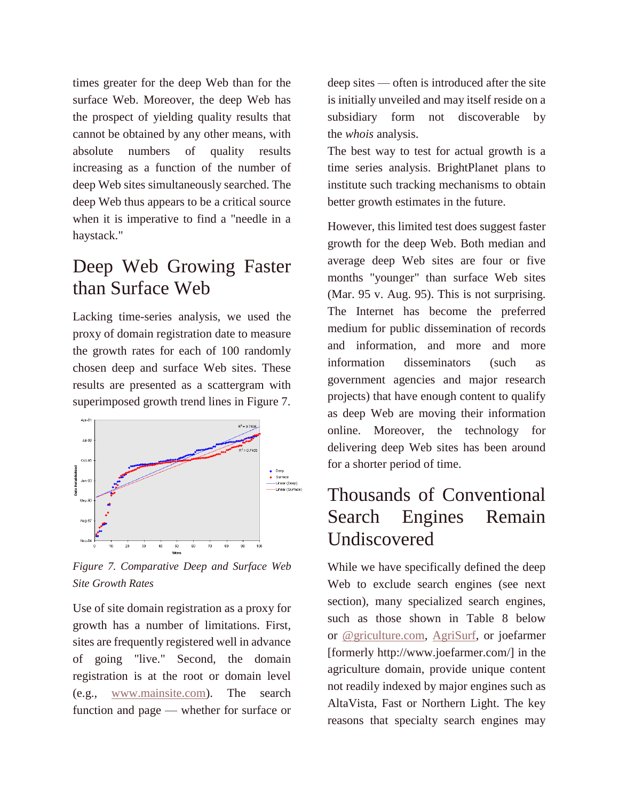times greater for the deep Web than for the surface Web. Moreover, the deep Web has the prospect of yielding quality results that cannot be obtained by any other means, with absolute numbers of quality results increasing as a function of the number of deep Web sites simultaneously searched. The deep Web thus appears to be a critical source when it is imperative to find a "needle in a haystack."

#### Deep Web Growing Faster than Surface Web

Lacking time-series analysis, we used the proxy of domain registration date to measure the growth rates for each of 100 randomly chosen deep and surface Web sites. These results are presented as a scattergram with superimposed growth trend lines in Figure 7.



*Figure 7. Comparative Deep and Surface Web Site Growth Rates*

Use of site domain registration as a proxy for growth has a number of limitations. First, sites are frequently registered well in advance of going "live." Second, the domain registration is at the root or domain level (e.g., [www.mainsite.com\)](http://www.mainsite.com/). The search function and page — whether for surface or

deep sites — often is introduced after the site is initially unveiled and may itself reside on a subsidiary form not discoverable by the *whois* analysis.

The best way to test for actual growth is a time series analysis. BrightPlanet plans to institute such tracking mechanisms to obtain better growth estimates in the future.

However, this limited test does suggest faster growth for the deep Web. Both median and average deep Web sites are four or five months "younger" than surface Web sites (Mar. 95 v. Aug. 95). This is not surprising. The Internet has become the preferred medium for public dissemination of records and information, and more and more information disseminators (such as government agencies and major research projects) that have enough content to qualify as deep Web are moving their information online. Moreover, the technology for delivering deep Web sites has been around for a shorter period of time.

### Thousands of Conventional Search Engines Remain Undiscovered

While we have specifically defined the deep Web to exclude search engines (see next section), many specialized search engines, such as those shown in Table 8 below or [@griculture.com,](http://www.agriculture.com/) [AgriSurf,](http://www.agrisurf.com/agrisurfscripts/agrisurf.asp?index=_25) or joefarmer [formerly http://www.joefarmer.com/] in the agriculture domain, provide unique content not readily indexed by major engines such as AltaVista, Fast or Northern Light. The key reasons that specialty search engines may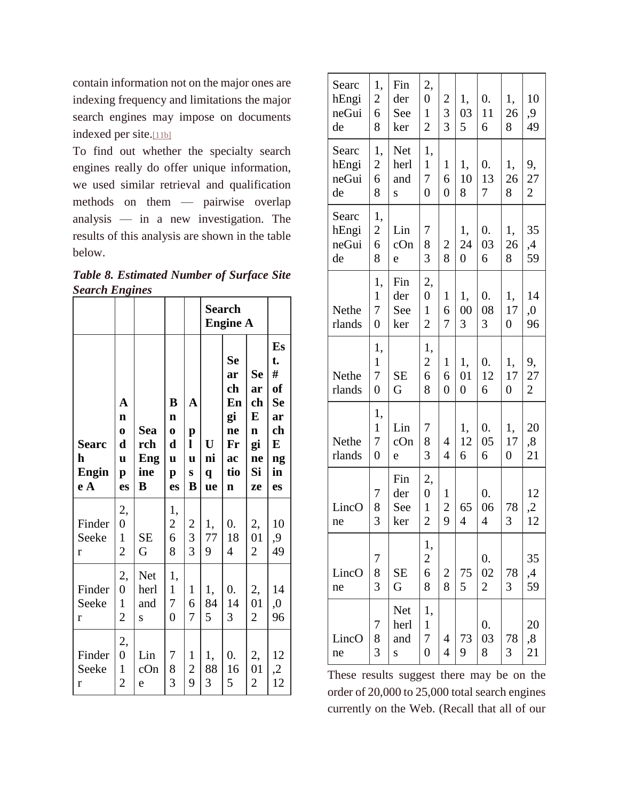contain information not on the major ones are indexing frequency and limitations the major search engines may impose on documents indexed per site.[\[11b\]](http://quod.lib.umich.edu/j/jep/3336451.0007.104?view=text;rgn=main#fn11)

To find out whether the specialty search engines really do offer unique information, we used similar retrieval and qualification methods on them — pairwise overlap analysis — in a new investigation. The results of this analysis are shown in the table below.

*Table 8. Estimated Number of Surface Site Search Engines*

|                                          |                                                                        |                               |                                                                     |                                                |                                         | <b>Search</b><br><b>Engine A</b>                                   |                                                                   |                                                                            |
|------------------------------------------|------------------------------------------------------------------------|-------------------------------|---------------------------------------------------------------------|------------------------------------------------|-----------------------------------------|--------------------------------------------------------------------|-------------------------------------------------------------------|----------------------------------------------------------------------------|
| <b>Searc</b><br>h<br><b>Engin</b><br>e A | A<br>$\mathbf n$<br>$\bf{0}$<br>d<br>$\mathbf u$<br>$\mathbf{p}$<br>es | Sea<br>rch<br>Eng<br>ine<br>B | $\bf{B}$<br>n<br>$\bf{0}$<br>$\mathbf d$<br>u<br>$\mathbf{p}$<br>es | A<br>p<br>l<br>u<br>S<br>B                     | $\mathbf U$<br>ni<br>$\mathbf{q}$<br>ue | Se<br>ar<br>ch<br>En<br>gi<br>ne<br>Fr<br>ac<br>tio<br>$\mathbf n$ | <b>Se</b><br>ar<br>ch<br>E<br>$\mathbf n$<br>gi<br>ne<br>Si<br>ze | Es<br>t.<br>#<br>of<br><b>Se</b><br>ar<br>ch<br>E<br>ng<br>in<br><b>es</b> |
| Finder<br>Seeke<br>r                     | 2,<br>$\overline{0}$<br>$\mathbf{1}$<br>$\overline{c}$                 | <b>SE</b><br>G                | 1,<br>$\overline{c}$<br>6<br>8                                      | $\overline{\mathbf{c}}$<br>3<br>$\overline{3}$ | 1,<br>77<br>9                           | $\overline{0}$ .<br>18<br>$\overline{4}$                           | 2,<br>01<br>$\overline{c}$                                        | 10<br>9,<br>49                                                             |
| Finder<br>Seeke<br>r                     | 2,<br>$\overline{0}$<br>$\mathbf{1}$<br>$\overline{2}$                 | Net<br>herl<br>and<br>S       | 1,<br>$\mathbf{1}$<br>7<br>$\overline{0}$                           | $\mathbf{1}$<br>6<br>7                         | 1,<br>84<br>5                           | $\boldsymbol{0}$ .<br>14<br>3                                      | 2,<br>01<br>$\overline{2}$                                        | 14<br>,0<br>96                                                             |
| Finder<br>Seeke<br>r                     | 2,<br>$\overline{0}$<br>$\mathbf{1}$<br>$\overline{c}$                 | Lin<br>cOn<br>e               | 7<br>8<br>3                                                         | 1<br>$\overline{c}$<br>9                       | 1,<br>88<br>3                           | 0.<br>16<br>5                                                      | 2,<br>01<br>$\overline{c}$                                        | 12<br>$\mathfrak{Z}$<br>12                                                 |

| Searc<br>hEngi<br>neGui<br>de | 1,<br>$\overline{c}$<br>6<br>8            | Fin<br>der<br>See<br>ker | 2,<br>$\boldsymbol{0}$<br>$\mathbf{1}$<br>$\overline{2}$ | $\overline{c}$<br>3<br>3            | 1,<br>03<br>5              | 0.<br>11<br>6               | 1,<br>26<br>8                | 10<br>9,<br>49             |
|-------------------------------|-------------------------------------------|--------------------------|----------------------------------------------------------|-------------------------------------|----------------------------|-----------------------------|------------------------------|----------------------------|
| Searc<br>hEngi<br>neGui<br>de | 1,<br>$\overline{c}$<br>6<br>8            | Net<br>herl<br>and<br>S  | 1,<br>$\mathbf{1}$<br>7<br>$\overline{0}$                | $\mathbf{1}$<br>6<br>$\overline{0}$ | 1,<br>10<br>8              | 0.<br>13<br>7               | 1,<br>26<br>8                | 9,<br>27<br>$\overline{2}$ |
| Searc<br>hEngi<br>neGui<br>de | 1,<br>$\overline{c}$<br>6<br>8            | Lin<br>cOn<br>e          | 7<br>8<br>$\overline{3}$                                 | $\overline{\mathbf{c}}$<br>8        | 1,<br>24<br>$\overline{0}$ | 0.<br>03<br>6               | 1,<br>26<br>8                | 35<br>,4<br>59             |
| Nethe<br>rlands               | 1,<br>$\mathbf{1}$<br>7<br>$\overline{0}$ | Fin<br>der<br>See<br>ker | 2,<br>$\boldsymbol{0}$<br>$\mathbf{1}$<br>$\overline{2}$ | $\mathbf{1}$<br>6<br>$\overline{7}$ | 1,<br>00<br>3              | $\overline{0}$ .<br>08<br>3 | 1,<br>17<br>$\overline{0}$   | 14<br>,0<br>96             |
| Nethe<br>rlands               | 1,<br>$\mathbf 1$<br>7<br>$\overline{0}$  | <b>SE</b><br>G           | 1,<br>$\overline{c}$<br>6<br>8                           | $\mathbf{1}$<br>6<br>$\overline{0}$ | 1,<br>01<br>$\overline{0}$ | 0.<br>12<br>6               | 1,<br>17<br>$\boldsymbol{0}$ | 9,<br>27<br>$\overline{2}$ |
| Nethe<br>rlands               | 1,<br>$\mathbf 1$<br>7<br>$\overline{0}$  | Lin<br>cOn<br>e          | 7<br>8<br>3                                              | $\overline{4}$<br>$\overline{4}$    | 1,<br>12<br>6              | 0.<br>05<br>6               | 1,<br>17<br>$\boldsymbol{0}$ | 20<br>,8<br>21             |
| LincO<br>ne                   | 7<br>8<br>3                               | Fin<br>der<br>See<br>ker | 2,<br>$\boldsymbol{0}$<br>$\mathbf{1}$<br>$\overline{c}$ | $\mathbf{1}$<br>$\overline{c}$<br>9 | 65<br>$\overline{4}$       | 0.<br>06<br>4               | 78<br>3                      | 12<br>$\overline{c}$<br>12 |
| LincO<br>ne                   | 7<br>8<br>$\overline{3}$                  | <b>SE</b><br>G           | 1,<br>$\overline{c}$<br>6<br>8                           | $\overline{\mathbf{c}}$<br>8        | 75<br>5                    | 0.<br>02<br>$\overline{2}$  | 78<br>3                      | 35<br>,4<br>59             |
| LincO<br>ne                   | 7<br>8<br>3                               | Net<br>herl<br>and<br>S  | 1,<br>$\mathbf{1}$<br>7<br>$\overline{0}$                | 4<br>$\overline{4}$                 | 73<br>9                    | 0.<br>03<br>8               | 78<br>3                      | 20<br>,8<br>21             |

These results suggest there may be on the order of 20,000 to 25,000 total search engines currently on the Web. (Recall that all of our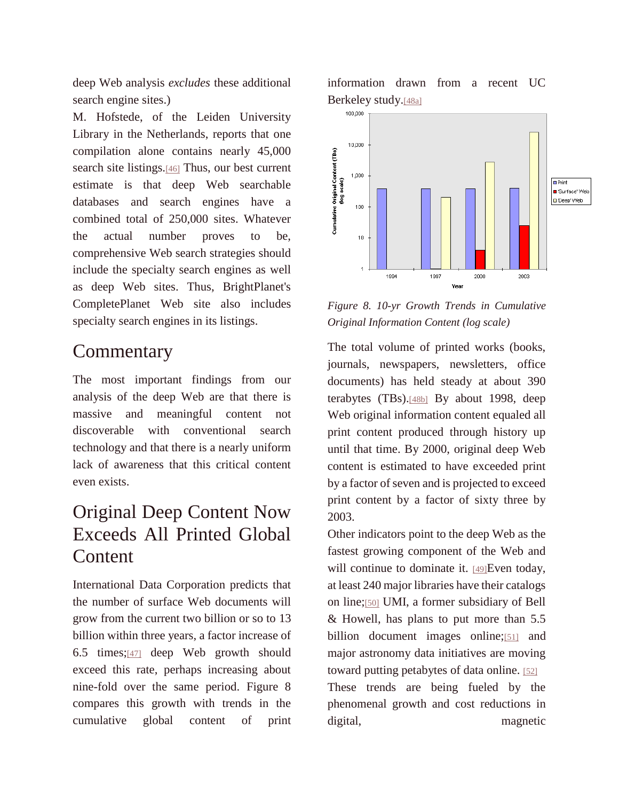deep Web analysis *excludes* these additional search engine sites.)

M. Hofstede, of the Leiden University Library in the Netherlands, reports that one compilation alone contains nearly 45,000 search site listings.[\[46\]](http://quod.lib.umich.edu/j/jep/3336451.0007.104?view=text;rgn=main#fn46) Thus, our best current estimate is that deep Web searchable databases and search engines have a combined total of 250,000 sites. Whatever the actual number proves to be, comprehensive Web search strategies should include the specialty search engines as well as deep Web sites. Thus, BrightPlanet's CompletePlanet Web site also includes specialty search engines in its listings.

#### **Commentary**

The most important findings from our analysis of the deep Web are that there is massive and meaningful content not discoverable with conventional search technology and that there is a nearly uniform lack of awareness that this critical content even exists.

## Original Deep Content Now Exceeds All Printed Global Content

International Data Corporation predicts that the number of surface Web documents will grow from the current two billion or so to 13 billion within three years, a factor increase of 6.5 times;[\[47\]](http://quod.lib.umich.edu/j/jep/3336451.0007.104?view=text;rgn=main#fn47) deep Web growth should exceed this rate, perhaps increasing about nine-fold over the same period. Figure 8 compares this growth with trends in the cumulative global content of print

information drawn from a recent UC Berkeley study.[\[48a\]](http://quod.lib.umich.edu/j/jep/3336451.0007.104?view=text;rgn=main#fn48)



*Figure 8. 10-yr Growth Trends in Cumulative Original Information Content (log scale)*

The total volume of printed works (books, journals, newspapers, newsletters, office documents) has held steady at about 390 terabytes (TBs).[\[48b\]](http://quod.lib.umich.edu/j/jep/3336451.0007.104?view=text;rgn=main#fn48) By about 1998, deep Web original information content equaled all print content produced through history up until that time. By 2000, original deep Web content is estimated to have exceeded print by a factor of seven and is projected to exceed print content by a factor of sixty three by 2003.

Other indicators point to the deep Web as the fastest growing component of the Web and will continue to dominate it. [\[49\]](http://quod.lib.umich.edu/j/jep/3336451.0007.104?view=text;rgn=main#fn49)Even today, at least 240 major libraries have their catalogs on line;[\[50\]](http://quod.lib.umich.edu/j/jep/3336451.0007.104?view=text;rgn=main#fn50) UMI, a former subsidiary of Bell & Howell, has plans to put more than 5.5 billion document images online;[\[51\]](http://quod.lib.umich.edu/j/jep/3336451.0007.104?view=text;rgn=main#fn51) and major astronomy data initiatives are moving toward putting petabytes of data online. [\[52\]](http://quod.lib.umich.edu/j/jep/3336451.0007.104?view=text;rgn=main#fn52) These trends are being fueled by the phenomenal growth and cost reductions in digital, magnetic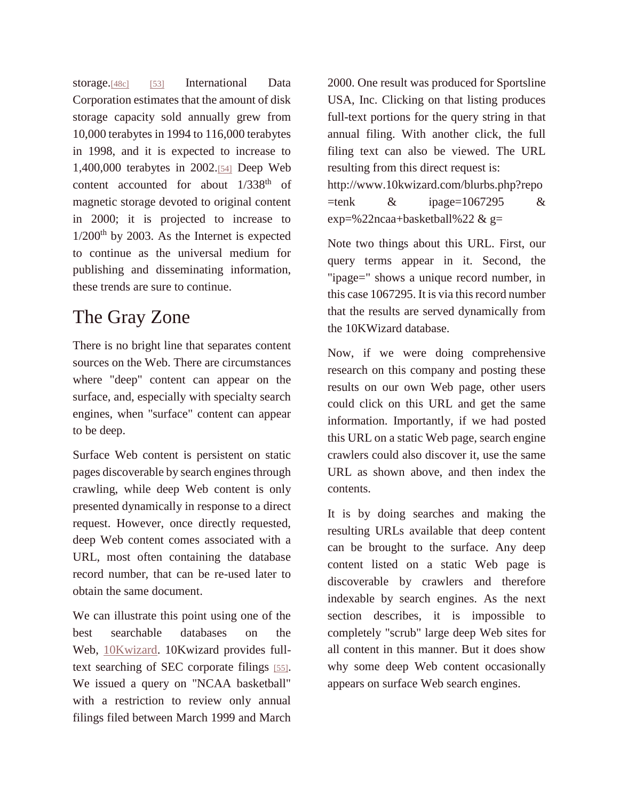storage.<sup>[\[48c\]](http://quod.lib.umich.edu/j/jep/3336451.0007.104?view=text;rgn=main#fn48)</sup> [\[53\]](http://quod.lib.umich.edu/j/jep/3336451.0007.104?view=text;rgn=main#fn53) International Data Corporation estimates that the amount of disk storage capacity sold annually grew from 10,000 terabytes in 1994 to 116,000 terabytes in 1998, and it is expected to increase to 1,400,000 terabytes in 2002.[\[54\]](http://quod.lib.umich.edu/j/jep/3336451.0007.104?view=text;rgn=main#fn54) Deep Web content accounted for about  $1/338$ <sup>th</sup> of magnetic storage devoted to original content in 2000; it is projected to increase to  $1/200$ <sup>th</sup> by 2003. As the Internet is expected to continue as the universal medium for publishing and disseminating information, these trends are sure to continue.

#### The Gray Zone

There is no bright line that separates content sources on the Web. There are circumstances where "deep" content can appear on the surface, and, especially with specialty search engines, when "surface" content can appear to be deep.

Surface Web content is persistent on static pages discoverable by search engines through crawling, while deep Web content is only presented dynamically in response to a direct request. However, once directly requested, deep Web content comes associated with a URL, most often containing the database record number, that can be re-used later to obtain the same document.

We can illustrate this point using one of the best searchable databases on the Web, [10Kwizard.](http://www.10kwizard.com/) 10Kwizard provides fulltext searching of SEC corporate filings [\[55\]](http://quod.lib.umich.edu/j/jep/3336451.0007.104?view=text;rgn=main#fn55). We issued a query on "NCAA basketball" with a restriction to review only annual filings filed between March 1999 and March 2000. One result was produced for Sportsline USA, Inc. Clicking on that listing produces full-text portions for the query string in that annual filing. With another click, the full filing text can also be viewed. The URL resulting from this direct request is: http://www.10kwizard.com/blurbs.php?repo  $=$ tenk & ipage=1067295 &  $exp=$ %22ncaa+basketball%22 & g=

Note two things about this URL. First, our query terms appear in it. Second, the "ipage=" shows a unique record number, in this case 1067295. It is via this record number that the results are served dynamically from the 10KWizard database.

Now, if we were doing comprehensive research on this company and posting these results on our own Web page, other users could click on this URL and get the same information. Importantly, if we had posted this URL on a static Web page, search engine crawlers could also discover it, use the same URL as shown above, and then index the contents.

It is by doing searches and making the resulting URLs available that deep content can be brought to the surface. Any deep content listed on a static Web page is discoverable by crawlers and therefore indexable by search engines. As the next section describes, it is impossible to completely "scrub" large deep Web sites for all content in this manner. But it does show why some deep Web content occasionally appears on surface Web search engines.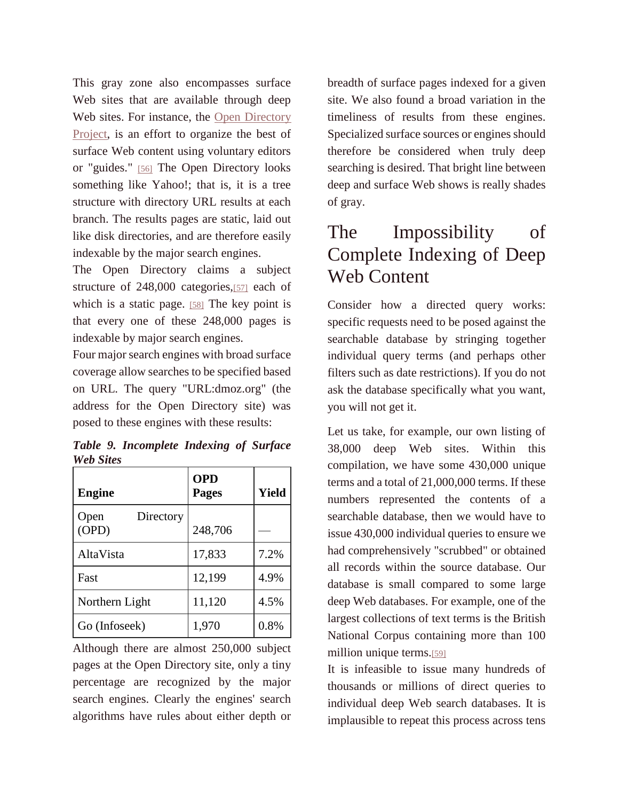This gray zone also encompasses surface Web sites that are available through deep Web sites. For instance, the Open [Directory](http://dmoz.org/) [Project,](http://dmoz.org/) is an effort to organize the best of surface Web content using voluntary editors or "guides." [\[56\]](http://quod.lib.umich.edu/j/jep/3336451.0007.104?view=text;rgn=main#fn56) The Open Directory looks something like Yahoo!; that is, it is a tree structure with directory URL results at each branch. The results pages are static, laid out like disk directories, and are therefore easily indexable by the major search engines.

The Open Directory claims a subject structure of 248,000 categories,[\[57\]](http://quod.lib.umich.edu/j/jep/3336451.0007.104?view=text;rgn=main#fn57) each of which is a static page. [\[58\]](http://quod.lib.umich.edu/j/jep/3336451.0007.104?view=text;rgn=main#fn58) The key point is that every one of these 248,000 pages is indexable by major search engines.

Four major search engines with broad surface coverage allow searches to be specified based on URL. The query "URL:dmoz.org" (the address for the Open Directory site) was posed to these engines with these results:

*Table 9. Incomplete Indexing of Surface Web Sites*

| <b>Engine</b>              | <b>OPD</b><br><b>Pages</b> | <b>Yield</b> |
|----------------------------|----------------------------|--------------|
| Directory<br>Open<br>(OPD) | 248,706                    |              |
| AltaVista                  | 17,833                     | 7.2%         |
| Fast                       | 12,199                     | 4.9%         |
| Northern Light             | 11,120                     | 4.5%         |
| Go (Infoseek)              | 1,970                      | 0.8%         |

Although there are almost 250,000 subject pages at the Open Directory site, only a tiny percentage are recognized by the major search engines. Clearly the engines' search algorithms have rules about either depth or

breadth of surface pages indexed for a given site. We also found a broad variation in the timeliness of results from these engines. Specialized surface sources or engines should therefore be considered when truly deep searching is desired. That bright line between deep and surface Web shows is really shades of gray.

### The Impossibility of Complete Indexing of Deep Web Content

Consider how a directed query works: specific requests need to be posed against the searchable database by stringing together individual query terms (and perhaps other filters such as date restrictions). If you do not ask the database specifically what you want, you will not get it.

Let us take, for example, our own listing of 38,000 deep Web sites. Within this compilation, we have some 430,000 unique terms and a total of 21,000,000 terms. If these numbers represented the contents of a searchable database, then we would have to issue 430,000 individual queries to ensure we had comprehensively "scrubbed" or obtained all records within the source database. Our database is small compared to some large deep Web databases. For example, one of the largest collections of text terms is the British National Corpus containing more than 100 million unique terms.[\[59\]](http://quod.lib.umich.edu/j/jep/3336451.0007.104?view=text;rgn=main#fn59)

It is infeasible to issue many hundreds of thousands or millions of direct queries to individual deep Web search databases. It is implausible to repeat this process across tens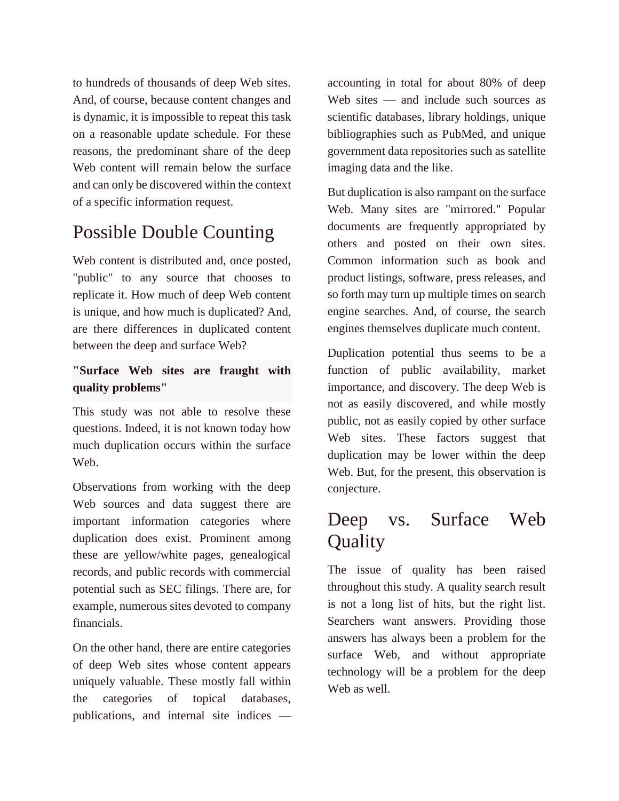to hundreds of thousands of deep Web sites. And, of course, because content changes and is dynamic, it is impossible to repeat this task on a reasonable update schedule. For these reasons, the predominant share of the deep Web content will remain below the surface and can only be discovered within the context of a specific information request.

## Possible Double Counting

Web content is distributed and, once posted, "public" to any source that chooses to replicate it. How much of deep Web content is unique, and how much is duplicated? And, are there differences in duplicated content between the deep and surface Web?

#### **"Surface Web sites are fraught with quality problems"**

This study was not able to resolve these questions. Indeed, it is not known today how much duplication occurs within the surface Web.

Observations from working with the deep Web sources and data suggest there are important information categories where duplication does exist. Prominent among these are yellow/white pages, genealogical records, and public records with commercial potential such as SEC filings. There are, for example, numerous sites devoted to company financials.

On the other hand, there are entire categories of deep Web sites whose content appears uniquely valuable. These mostly fall within the categories of topical databases, publications, and internal site indices —

accounting in total for about 80% of deep Web sites — and include such sources as scientific databases, library holdings, unique bibliographies such as PubMed, and unique government data repositories such as satellite imaging data and the like.

But duplication is also rampant on the surface Web. Many sites are "mirrored." Popular documents are frequently appropriated by others and posted on their own sites. Common information such as book and product listings, software, press releases, and so forth may turn up multiple times on search engine searches. And, of course, the search engines themselves duplicate much content.

Duplication potential thus seems to be a function of public availability, market importance, and discovery. The deep Web is not as easily discovered, and while mostly public, not as easily copied by other surface Web sites. These factors suggest that duplication may be lower within the deep Web. But, for the present, this observation is conjecture.

## Deep vs. Surface Web **Quality**

The issue of quality has been raised throughout this study. A quality search result is not a long list of hits, but the right list. Searchers want answers. Providing those answers has always been a problem for the surface Web, and without appropriate technology will be a problem for the deep Web as well.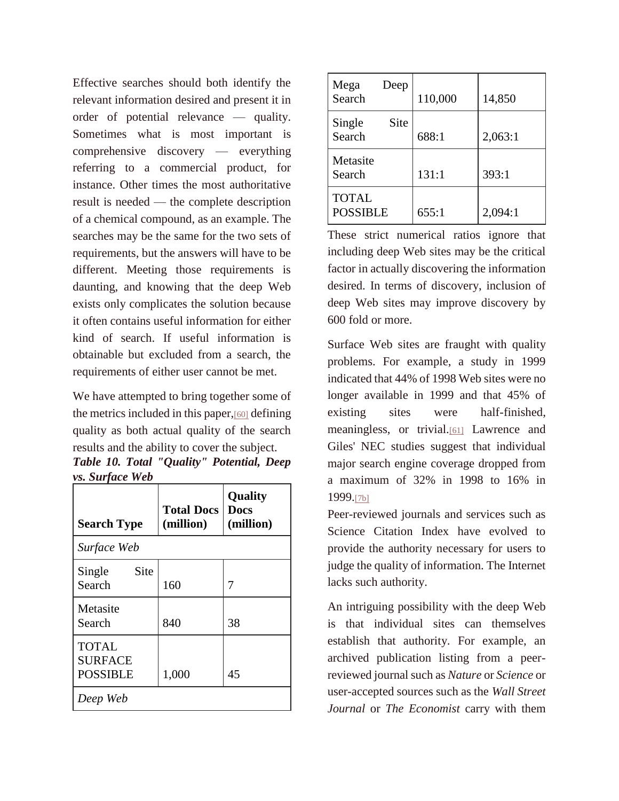Effective searches should both identify the relevant information desired and present it in order of potential relevance — quality. Sometimes what is most important is comprehensive discovery — everything referring to a commercial product, for instance. Other times the most authoritative result is needed — the complete description of a chemical compound, as an example. The searches may be the same for the two sets of requirements, but the answers will have to be different. Meeting those requirements is daunting, and knowing that the deep Web exists only complicates the solution because it often contains useful information for either kind of search. If useful information is obtainable but excluded from a search, the requirements of either user cannot be met.

We have attempted to bring together some of the metrics included in this paper,[\[60\]](http://quod.lib.umich.edu/j/jep/3336451.0007.104?view=text;rgn=main#fn60) defining quality as both actual quality of the search results and the ability to cover the subject.

*Table 10. Total "Quality" Potential, Deep vs. Surface Web*

| <b>Search Type</b>                                | <b>Total Docs</b><br>(million) | <b>Quality</b><br><b>Docs</b><br>(million) |  |
|---------------------------------------------------|--------------------------------|--------------------------------------------|--|
| Surface Web                                       |                                |                                            |  |
| Site<br>Single<br>Search                          | 160                            | 7                                          |  |
| Metasite<br>Search                                | 840                            | 38                                         |  |
| <b>TOTAL</b><br><b>SURFACE</b><br><b>POSSIBLE</b> | 1,000                          | 45                                         |  |
| Deep Web                                          |                                |                                            |  |

| Mega<br>Deep<br>Search          | 110,000 | 14,850  |
|---------------------------------|---------|---------|
| Single<br>Site<br>Search        | 688:1   | 2,063:1 |
| Metasite<br>Search              | 131:1   | 393:1   |
| <b>TOTAL</b><br><b>POSSIBLE</b> | 655:1   | 2,094:1 |

These strict numerical ratios ignore that including deep Web sites may be the critical factor in actually discovering the information desired. In terms of discovery, inclusion of deep Web sites may improve discovery by 600 fold or more.

Surface Web sites are fraught with quality problems. For example, a study in 1999 indicated that 44% of 1998 Web sites were no longer available in 1999 and that 45% of existing sites were half-finished, meaningless, or trivial.[\[61\]](http://quod.lib.umich.edu/j/jep/3336451.0007.104?view=text;rgn=main#fn61) Lawrence and Giles' NEC studies suggest that individual major search engine coverage dropped from a maximum of 32% in 1998 to 16% in 1999.[\[7b\]](http://quod.lib.umich.edu/j/jep/3336451.0007.104?view=text;rgn=main#fn7)

Peer-reviewed journals and services such as Science Citation Index have evolved to provide the authority necessary for users to judge the quality of information. The Internet lacks such authority.

An intriguing possibility with the deep Web is that individual sites can themselves establish that authority. For example, an archived publication listing from a peerreviewed journal such as *Nature* or *Science* or user-accepted sources such as the *Wall Street Journal* or *The Economist* carry with them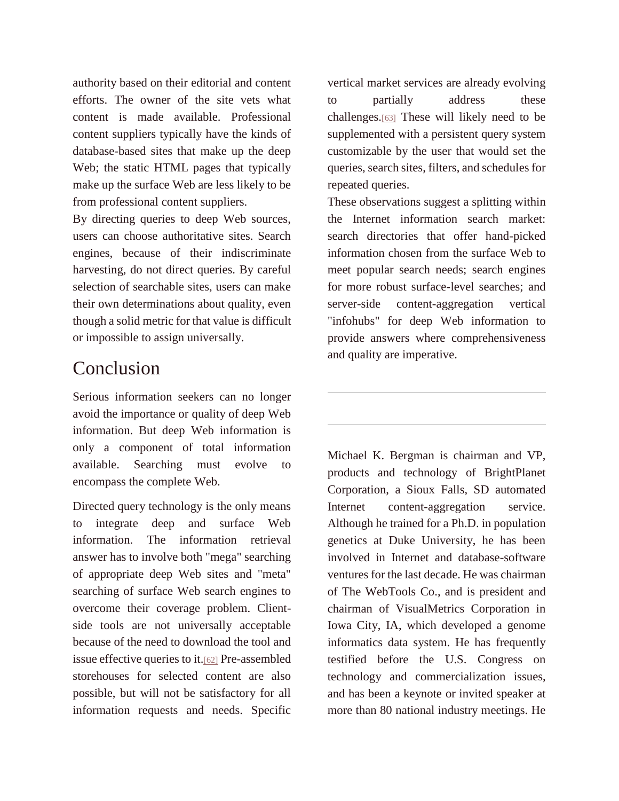authority based on their editorial and content efforts. The owner of the site vets what content is made available. Professional content suppliers typically have the kinds of database-based sites that make up the deep Web; the static HTML pages that typically make up the surface Web are less likely to be from professional content suppliers.

By directing queries to deep Web sources, users can choose authoritative sites. Search engines, because of their indiscriminate harvesting, do not direct queries. By careful selection of searchable sites, users can make their own determinations about quality, even though a solid metric for that value is difficult or impossible to assign universally.

#### Conclusion

Serious information seekers can no longer avoid the importance or quality of deep Web information. But deep Web information is only a component of total information available. Searching must evolve to encompass the complete Web.

Directed query technology is the only means to integrate deep and surface Web information. The information retrieval answer has to involve both "mega" searching of appropriate deep Web sites and "meta" searching of surface Web search engines to overcome their coverage problem. Clientside tools are not universally acceptable because of the need to download the tool and issue effective queries to it.[\[62\]](http://quod.lib.umich.edu/j/jep/3336451.0007.104?view=text;rgn=main#fn62) Pre-assembled storehouses for selected content are also possible, but will not be satisfactory for all information requests and needs. Specific

vertical market services are already evolving to partially address these challenges.[\[63\]](http://quod.lib.umich.edu/j/jep/3336451.0007.104?view=text;rgn=main#fn63) These will likely need to be supplemented with a persistent query system customizable by the user that would set the queries, search sites, filters, and schedules for repeated queries.

These observations suggest a splitting within the Internet information search market: search directories that offer hand-picked information chosen from the surface Web to meet popular search needs; search engines for more robust surface-level searches; and server-side content-aggregation vertical "infohubs" for deep Web information to provide answers where comprehensiveness and quality are imperative.

Michael K. Bergman is chairman and VP, products and technology of BrightPlanet Corporation, a Sioux Falls, SD automated Internet content-aggregation service. Although he trained for a Ph.D. in population genetics at Duke University, he has been involved in Internet and database-software ventures for the last decade. He was chairman of The WebTools Co., and is president and chairman of VisualMetrics Corporation in Iowa City, IA, which developed a genome informatics data system. He has frequently testified before the U.S. Congress on technology and commercialization issues, and has been a keynote or invited speaker at more than 80 national industry meetings. He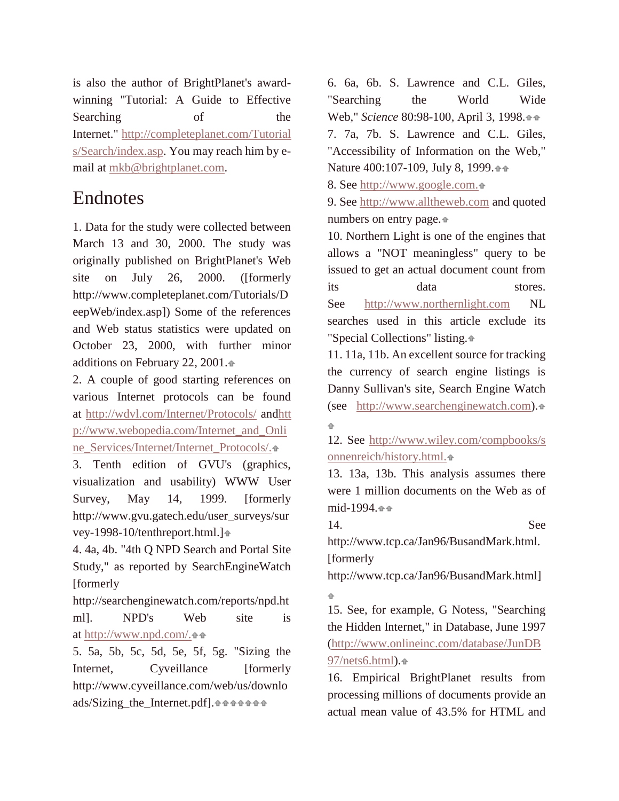is also the author of BrightPlanet's awardwinning "Tutorial: A Guide to Effective Searching of the Internet." [http://completeplanet.com/Tutorial](http://completeplanet.com/Tutorials/Search/index.asp) [s/Search/index.asp.](http://completeplanet.com/Tutorials/Search/index.asp) You may reach him by email at [mkb@brightplanet.com.](mailto:mkb@brightplanet.com)

#### Endnotes

1. Data for the study were collected between March 13 and 30, 2000. The study was originally published on BrightPlanet's Web site on July 26, 2000. ([formerly http://www.completeplanet.com/Tutorials/D eepWeb/index.asp]) Some of the references and Web status statistics were updated on October 23, 2000, with further minor additions on February 22, 2001[.](http://quod.lib.umich.edu/j/jep/3336451.0007.104?view=text;rgn=main#fn1-ptr1)

2. A couple of good starting references on various Internet protocols can be found at <http://wdvl.com/Internet/Protocols/> an[dhtt](http://www.webopedia.com/Internet_and_Online_Services/Internet/Internet_Protocols/) [p://www.webopedia.com/Internet\\_and\\_Onli](http://www.webopedia.com/Internet_and_Online_Services/Internet/Internet_Protocols/) [ne\\_Services/Internet/Internet\\_Protocols/.](http://www.webopedia.com/Internet_and_Online_Services/Internet/Internet_Protocols/)

3. Tenth edition of GVU's (graphics, visualization and usability) WWW User Survey, May 14, 1999. [formerly http://www.gvu.gatech.edu/user\_surveys/sur vey-1998-10/tenthreport.html.[\]](http://quod.lib.umich.edu/j/jep/3336451.0007.104?view=text;rgn=main#fn3-ptr1)

4. 4a, 4b. "4th Q NPD Search and Portal Site Study," as reported by SearchEngineWatch [formerly

http://searchenginewatch.com/reports/npd.ht ml]. NPD's Web site is at [http://www.npd.com/.](http://www.npd.com/)

5. 5a, 5b, 5c, 5d, 5e, 5f, 5g. "Sizing the Internet, Cyveillance [formerly http://www.cyveillance.com/web/us/downlo ads/Sizing\_the\_Internet.pdf].

6. 6a, 6b. S. Lawrence and C.L. Giles, "Searching the World Wide Web," *Science* 80:98-100, April 3, 1998. 7. 7a, 7b. S. Lawrence and C.L. Giles, "Accessibility of Information on the Web," Nature 400:107-109, July 8, 1999.  $\pm \pm$ 

8. See [http://www.google.com.](http://www.google.com/)

9. See [http://www.alltheweb.com](http://www.alltheweb.com/) and quoted numbers on entry page.

10. Northern Light is one of the engines that allows a "NOT meaningless" query to be issued to get an actual document count from its data stores. See [http://www.northernlight.com](http://www.northernlight.com./) NL searches used in this article exclude its "Special Collections" listing.

11. 11a, 11b. An excellent source for tracking the currency of search engine listings is Danny Sullivan's site, Search Engine Watch (see [http://www.searchenginewatch.com\)](http://www.searchenginewatch.com/). ÷.

12. See [http://www.wiley.com/compbooks/s](http://www.wiley.com/compbooks/sonnenreich/history.html) [onnenreich/history.html.](http://www.wiley.com/compbooks/sonnenreich/history.html)

13. 13a, 13b. This analysis assumes there were 1 million documents on the Web as of mid-1994.<sup>++</sup>

14. See http://www.tcp.ca/Jan96/BusandMark.html. [formerly

http://www.tcp.ca/Jan96/BusandMark.html]

15. See, for example, G Notess, "Searching the Hidden Internet," in Database, June 1997 [\(http://www.onlineinc.com/database/JunDB](http://notess.com/write/archive/9706.html) [97/nets6.html\)](http://notess.com/write/archive/9706.html).

16. Empirical BrightPlanet results from processing millions of documents provide an actual mean value of 43.5% for HTML and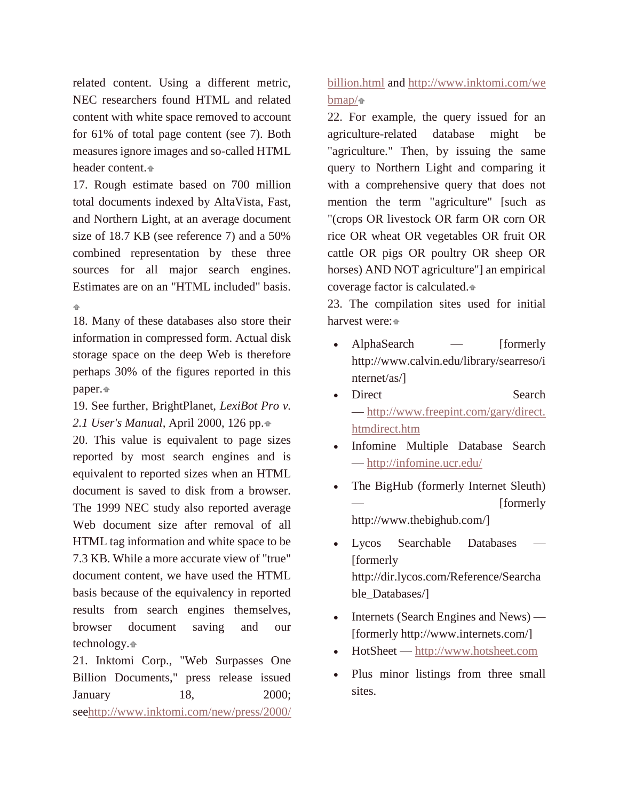related content. Using a different metric, NEC researchers found HTML and related content with white space removed to account for 61% of total page content (see 7). Both measures ignore images and so-called HTML header content[.](http://quod.lib.umich.edu/j/jep/3336451.0007.104?view=text;rgn=main#fn16-ptr1)

17. Rough estimate based on 700 million total documents indexed by AltaVista, Fast, and Northern Light, at an average document size of 18.7 KB (see reference 7) and a 50% combined representation by these three sources for all major search engines. Estimates are on an "HTML included" basis. 4

18. Many of these databases also store their information in compressed form. Actual disk storage space on the deep Web is therefore perhaps 30% of the figures reported in this paper.

19. See further, BrightPlanet, *LexiBot Pro v. 2.1 User's Manual,* April 2000, 126 pp[.](http://quod.lib.umich.edu/j/jep/3336451.0007.104?view=text;rgn=main#fn19-ptr1)

20. This value is equivalent to page sizes reported by most search engines and is equivalent to reported sizes when an HTML document is saved to disk from a browser. The 1999 NEC study also reported average Web document size after removal of all HTML tag information and white space to be 7.3 KB. While a more accurate view of "true" document content, we have used the HTML basis because of the equivalency in reported results from search engines themselves, browser document saving and our technology[.](http://quod.lib.umich.edu/j/jep/3336451.0007.104?view=text;rgn=main#fn20-ptr1)

21. Inktomi Corp., "Web Surpasses One Billion Documents," press release issued January 18, 2000; se[ehttp://www.inktomi.com/new/press/2000/](http://www.inktomi.com/new/press/2000/billion.html)

#### [billion.html](http://www.inktomi.com/new/press/2000/billion.html) and [http://www.inktomi.com/we](http://www.inktomi.com/webmap/)  $bmap/<sub>n</sub>$  $bmap/<sub>n</sub>$

22. For example, the query issued for an agriculture-related database might be "agriculture." Then, by issuing the same query to Northern Light and comparing it with a comprehensive query that does not mention the term "agriculture" [such as "(crops OR livestock OR farm OR corn OR rice OR wheat OR vegetables OR fruit OR cattle OR pigs OR poultry OR sheep OR horses) AND NOT agriculture"] an empirical coverage factor is calculated.

23. The compilation sites used for initial harvest were[:](http://quod.lib.umich.edu/j/jep/3336451.0007.104?view=text;rgn=main#fn23-ptr1)

- AlphaSearch [formerly http://www.calvin.edu/library/searreso/i nternet/as/]
- Direct Search — [http://www.freepint.com/gary/direct.](http://www.freepint.com/gary/direct.htm) [htmdirect.htm](http://www.freepint.com/gary/direct.htm)
- Infomine Multiple Database Search — <http://infomine.ucr.edu/>
- The BigHub (formerly Internet Sleuth) [formerly] http://www.thebighub.com/]
- Lycos Searchable Databases [formerly] http://dir.lycos.com/Reference/Searcha ble\_Databases/]
- Internets (Search Engines and News) [formerly http://www.internets.com/]
- HotSheet [http://www.hotsheet.com](http://www.hotsheet.com/)
- Plus minor listings from three small sites.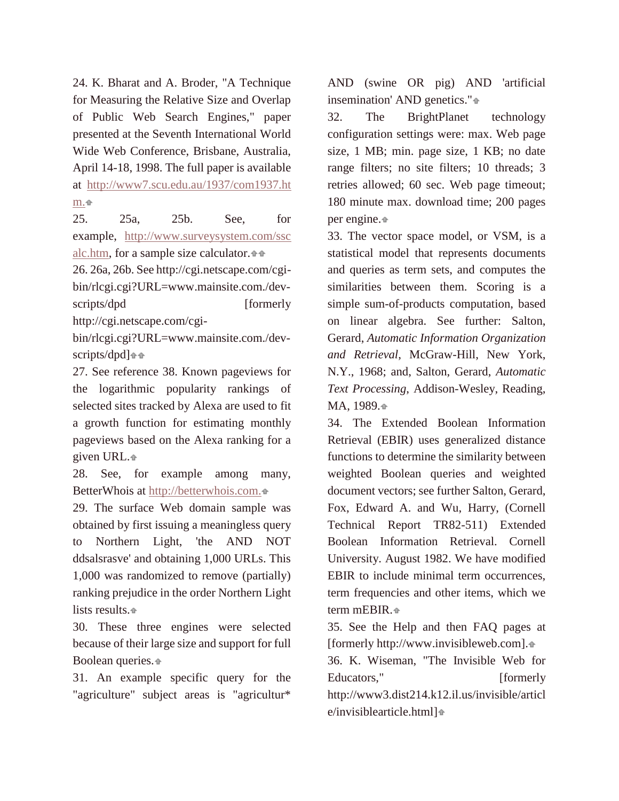24. K. Bharat and A. Broder, "A Technique for Measuring the Relative Size and Overlap of Public Web Search Engines," paper presented at the Seventh International World Wide Web Conference, Brisbane, Australia, April 14-18, 1998. The full paper is available at [http://www7.scu.edu.au/1937/com1937.ht](http://www7.scu.edu.au/1937/com1937.htm) [m.](http://www7.scu.edu.au/1937/com1937.htm)

25. 25a, 25b. See, for example, [http://www.surveysystem.com/ssc](http://www.surveysystem.com/sscalc.htm) [alc.htm,](http://www.surveysystem.com/sscalc.htm) for a sample size calculator.

26. 26a, 26b. See http://cgi.netscape.com/cgibin/rlcgi.cgi?URL=www.mainsite.com./devscripts/dpd [formerly http://cgi.netscape.com/cgi-

bin/rlcgi.cgi?URL=www.mainsite.com./devscripts/dpd]

27. See reference 38. Known pageviews for the logarithmic popularity rankings of selected sites tracked by Alexa are used to fit a growth function for estimating monthly pageviews based on the Alexa ranking for a given URL.

28. See, for example among many, BetterWhois at [http://betterwhois.com.](http://betterwhois.com/)

29. The surface Web domain sample was obtained by first issuing a meaningless query to Northern Light, 'the AND NOT ddsalsrasve' and obtaining 1,000 URLs. This 1,000 was randomized to remove (partially) ranking prejudice in the order Northern Light lists results.

30. These three engines were selected because of their large size and support for full Boolean queries.

31. An example specific query for the "agriculture" subject areas is "agricultur\* AND (swine OR pig) AND 'artificial insemination' AND genetics."

32. The BrightPlanet technology configuration settings were: max. Web page size, 1 MB; min. page size, 1 KB; no date range filters; no site filters; 10 threads; 3 retries allowed; 60 sec. Web page timeout; 180 minute max. download time; 200 pages per engine[.](http://quod.lib.umich.edu/j/jep/3336451.0007.104?view=text;rgn=main#fn32-ptr1)

33. The vector space model, or VSM, is a statistical model that represents documents and queries as term sets, and computes the similarities between them. Scoring is a simple sum-of-products computation, based on linear algebra. See further: Salton, Gerard, *Automatic Information Organization and Retrieval*, McGraw-Hill, New York, N.Y., 1968; and, Salton, Gerard, *Automatic Text Processing*, Addison-Wesley, Reading, MA, 1989[.](http://quod.lib.umich.edu/j/jep/3336451.0007.104?view=text;rgn=main#fn33-ptr1)

34. The Extended Boolean Information Retrieval (EBIR) uses generalized distance functions to determine the similarity between weighted Boolean queries and weighted document vectors; see further Salton, Gerard, Fox, Edward A. and Wu, Harry, (Cornell Technical Report TR82-511) Extended Boolean Information Retrieval. Cornell University. August 1982. We have modified EBIR to include minimal term occurrences, term frequencies and other items, which we term mEBIR.

35. See the Help and then FAQ pages at [formerly http://www.invisibleweb.com].

36. K. Wiseman, "The Invisible Web for Educators," [formerly http://www3.dist214.k12.il.us/invisible/articl e/invisiblearticle.html[\]](http://quod.lib.umich.edu/j/jep/3336451.0007.104?view=text;rgn=main#fn36-ptr1)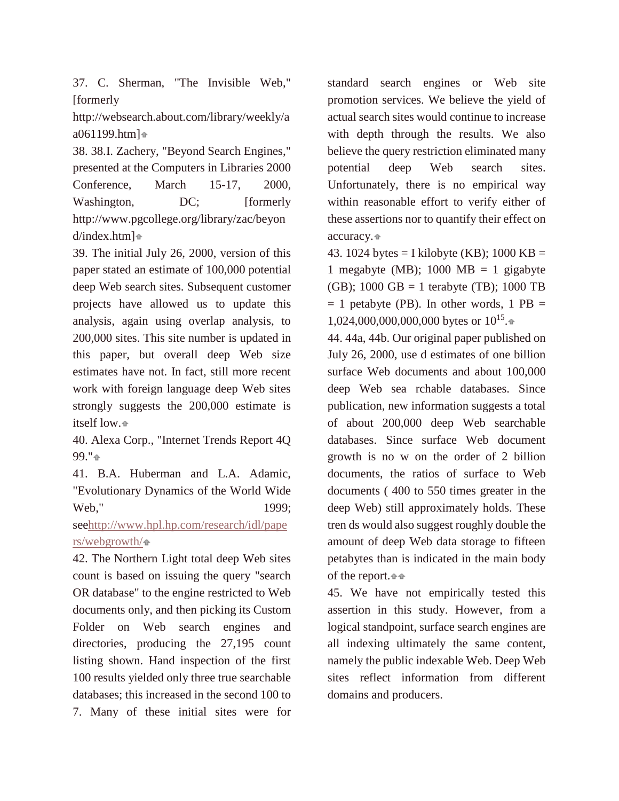37. C. Sherman, "The Invisible Web," [formerly]

http://websearch.about.com/library/weekly/a a061199.htm[\]](http://quod.lib.umich.edu/j/jep/3336451.0007.104?view=text;rgn=main#fn37-ptr1)

38. 38.I. Zachery, "Beyond Search Engines," presented at the Computers in Libraries 2000 Conference, March 15-17, 2000, Washington, DC; [formerly http://www.pgcollege.org/library/zac/beyon d/index.htm]

39. The initial July 26, 2000, version of this paper stated an estimate of 100,000 potential deep Web search sites. Subsequent customer projects have allowed us to update this analysis, again using overlap analysis, to 200,000 sites. This site number is updated in this paper, but overall deep Web size estimates have not. In fact, still more recent work with foreign language deep Web sites strongly suggests the 200,000 estimate is itself low[.](http://quod.lib.umich.edu/j/jep/3336451.0007.104?view=text;rgn=main#fn39-ptr1)

40. Alexa Corp., "Internet Trends Report 4Q 99."

41. B.A. Huberman and L.A. Adamic, "Evolutionary Dynamics of the World Wide Web," 1999;

se[ehttp://www.hpl.hp.com/research/idl/pape](http://www.hpl.hp.com/research/idl/papers/webgrowth/)  $rs$ /webgrowth/ $\rightarrow$ 

42. The Northern Light total deep Web sites count is based on issuing the query "search OR database" to the engine restricted to Web documents only, and then picking its Custom Folder on Web search engines and directories, producing the 27,195 count listing shown. Hand inspection of the first 100 results yielded only three true searchable databases; this increased in the second 100 to 7. Many of these initial sites were for

standard search engines or Web site promotion services. We believe the yield of actual search sites would continue to increase with depth through the results. We also believe the query restriction eliminated many potential deep Web search sites. Unfortunately, there is no empirical way within reasonable effort to verify either of these assertions nor to quantify their effect on accuracy.

43. 1024 bytes = I kilobyte (KB); 1000 KB = 1 megabyte (MB);  $1000 \text{ MB} = 1 \text{ gigabyte}$ (GB); 1000 GB = 1 terabyte (TB); 1000 TB  $= 1$  petabyte (PB). In other words, 1 PB  $=$ 1,024,000,000,000,000 bytes or 10<sup>15</sup>[.](http://quod.lib.umich.edu/j/jep/3336451.0007.104?view=text;rgn=main#fn43-ptr1)

44. 44a, 44b. Our original paper published on July 26, 2000, use d estimates of one billion surface Web documents and about 100,000 deep Web sea rchable databases. Since publication, new information suggests a total of about 200,000 deep Web searchable databases. Since surface Web document growth is no w on the order of 2 billion documents, the ratios of surface to Web documents ( 400 to 550 times greater in the deep Web) still approximately holds. These tren ds would also suggest roughly double the amount of deep Web data storage to fifteen petabytes than is indicated in the main body of the report[.](http://quod.lib.umich.edu/j/jep/3336451.0007.104?view=text;rgn=main#fn44-ptr1)

45. We have not empirically tested this assertion in this study. However, from a logical standpoint, surface search engines are all indexing ultimately the same content, namely the public indexable Web. Deep Web sites reflect information from different domains and producers.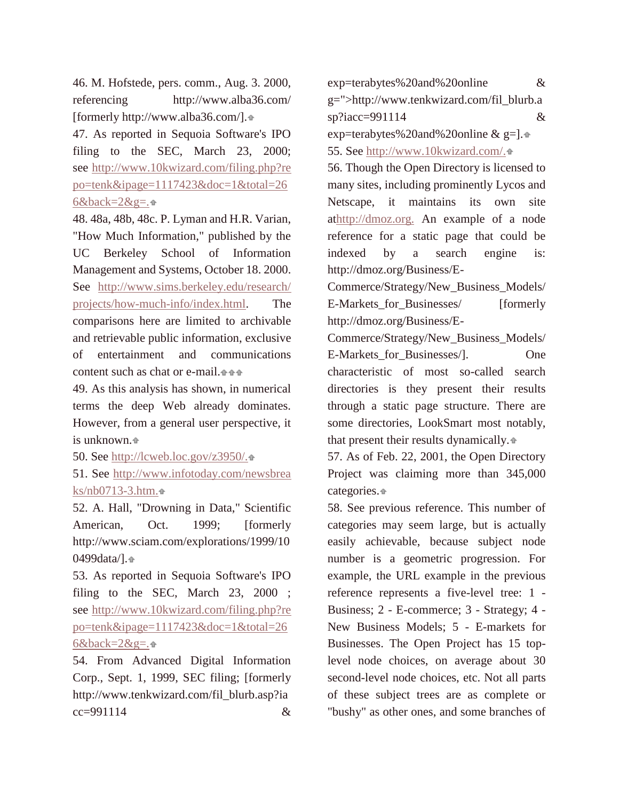46. M. Hofstede, pers. comm., Aug. 3. 2000, referencing http://www.alba36.com/ [formerly http://www.alba36.com/].

47. As reported in Sequoia Software's IPO filing to the SEC, March 23, 2000; see [http://www.10kwizard.com/filing.php?re](http://www.10kwizard.com/filing.php?repo=tenk&ipage=1117423&doc=1&total=266&back=2&g=) [po=tenk&ipage=1117423&doc=1&total=26](http://www.10kwizard.com/filing.php?repo=tenk&ipage=1117423&doc=1&total=266&back=2&g=)  $6&black=2&g=.\oplus$ 

48. 48a, 48b, 48c. P. Lyman and H.R. Varian, "How Much Information," published by the UC Berkeley School of Information Management and Systems, October 18. 2000. See [http://www.sims.berkeley.edu/research/](http://www2.sims.berkeley.edu/research/projects/how-much-info/) [projects/how-much-info/index.html.](http://www2.sims.berkeley.edu/research/projects/how-much-info/) The comparisons here are limited to archivable and retrievable public information, exclusive of entertainment and communications content such as chat or e-mail[.](http://quod.lib.umich.edu/j/jep/3336451.0007.104?view=text;rgn=main#fn48-ptr1)

49. As this analysis has shown, in numerical terms the deep Web already dominates. However, from a general user perspective, it is unknown.

50. See [http://lcweb.loc.gov/z3950/.](http://lcweb.loc.gov/z3950/)

51. See [http://www.infotoday.com/newsbrea](http://www.infotoday.com/newsbreaks/nb0713-3.htm) [ks/nb0713-3.htm.](http://www.infotoday.com/newsbreaks/nb0713-3.htm)

52. A. Hall, "Drowning in Data," Scientific American, Oct. 1999; [formerly http://www.sciam.com/explorations/1999/10 0499data/][.](http://quod.lib.umich.edu/j/jep/3336451.0007.104?view=text;rgn=main#fn52-ptr1)

53. As reported in Sequoia Software's IPO filing to the SEC, March 23, 2000; see [http://www.10kwizard.com/filing.php?re](http://www.10kwizard.com/filing.php?repo=tenk&ipage=1117423&doc=1&total=266&back=2&g=) [po=tenk&ipage=1117423&doc=1&total=26](http://www.10kwizard.com/filing.php?repo=tenk&ipage=1117423&doc=1&total=266&back=2&g=)  $6&\text{back}=2&\text{g}=\cdot \cdot \cdot$ 

54. From Advanced Digital Information Corp., Sept. 1, 1999, SEC filing; [formerly http://www.tenkwizard.com/fil\_blurb.asp?ia cc=991114 &

exp=terabytes%20and%20online & g=">http://www.tenkwizard.com/fil\_blurb.a sp?iacc=991114 & exp=terabytes%20and%20online & g=1. $\triangle$ 

55. See [http://www.10kwizard.com/.](http://www.10kwizard.com/)

56. Though the Open Directory is licensed to many sites, including prominently Lycos and Netscape, it maintains its own site a[thttp://dmoz.org.](http://dmoz.org/) An example of a node reference for a static page that could be indexed by a search engine is: http://dmoz.org/Business/E-

Commerce/Strategy/New\_Business\_Models/ E-Markets for Businesses/ [formerly http://dmoz.org/Business/E-

Commerce/Strategy/New\_Business\_Models/ E-Markets for Businesses/]. One characteristic of most so-called search directories is they present their results through a static page structure. There are some directories, LookSmart most notably, that present their results dynamically[.](http://quod.lib.umich.edu/j/jep/3336451.0007.104?view=text;rgn=main#fn56-ptr1)

57. As of Feb. 22, 2001, the Open Directory Project was claiming more than 345,000 categories.

58. See previous reference. This number of categories may seem large, but is actually easily achievable, because subject node number is a geometric progression. For example, the URL example in the previous reference represents a five-level tree: 1 - Business; 2 - E-commerce; 3 - Strategy; 4 - New Business Models; 5 - E-markets for Businesses. The Open Project has 15 toplevel node choices, on average about 30 second-level node choices, etc. Not all parts of these subject trees are as complete or "bushy" as other ones, and some branches of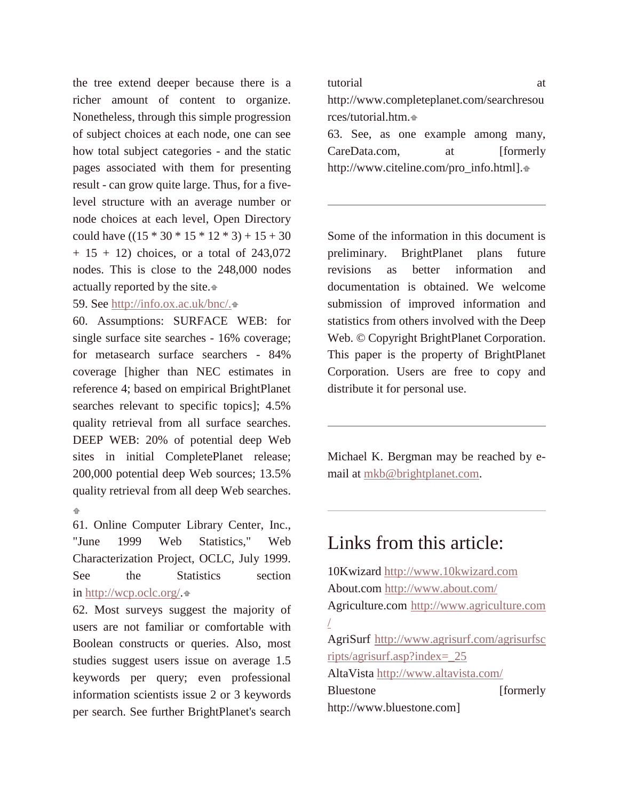the tree extend deeper because there is a richer amount of content to organize. Nonetheless, through this simple progression of subject choices at each node, one can see how total subject categories - and the static pages associated with them for presenting result - can grow quite large. Thus, for a fivelevel structure with an average number or node choices at each level, Open Directory could have  $((15 * 30 * 15 * 12 * 3) + 15 + 30)$  $+ 15 + 12$ ) choices, or a total of 243,072 nodes. This is close to the 248,000 nodes actually reported by the site[.](http://quod.lib.umich.edu/j/jep/3336451.0007.104?view=text;rgn=main#fn58-ptr1)

#### 59. See [http://info.ox.ac.uk/bnc/.](http://info.ox.ac.uk/bnc/) $\triangle$

60. Assumptions: SURFACE WEB: for single surface site searches - 16% coverage; for metasearch surface searchers - 84% coverage [higher than NEC estimates in reference 4; based on empirical BrightPlanet searches relevant to specific topics]; 4.5% quality retrieval from all surface searches. DEEP WEB: 20% of potential deep Web sites in initial CompletePlanet release; 200,000 potential deep Web sources; 13.5% quality retrieval from all deep Web searches. ÷.

61. Online Computer Library Center, Inc., "June 1999 Web Statistics," Web Characterization Project, OCLC, July 1999. See the Statistics section in [http://wcp.oclc.org/.](http://wcp.oclc.org/)

62. Most surveys suggest the majority of users are not familiar or comfortable with Boolean constructs or queries. Also, most studies suggest users issue on average 1.5 keywords per query; even professional information scientists issue 2 or 3 keywords per search. See further BrightPlanet's search

tutorial at http://www.completeplanet.com/searchresou rces/tutorial.htm.

63. See, as one example among many, CareData.com, at [formerly http://www.citeline.com/pro\_info.html][.](http://quod.lib.umich.edu/j/jep/3336451.0007.104?view=text;rgn=main#fn63-ptr1)

Some of the information in this document is preliminary. BrightPlanet plans future revisions as better information and documentation is obtained. We welcome submission of improved information and statistics from others involved with the Deep Web. © Copyright BrightPlanet Corporation. This paper is the property of BrightPlanet Corporation. Users are free to copy and distribute it for personal use.

Michael K. Bergman may be reached by email at [mkb@brightplanet.com.](mailto:mkb@brightplanet.com)

#### Links from this article:

10Kwizard [http://www.10kwizard.com](http://www.10kwizard.com/) About.com <http://www.about.com/> Agriculture.com [http://www.agriculture.com](http://www.agriculture.com/) [/](http://www.agriculture.com/) AgriSurf [http://www.agrisurf.com/agrisurfsc](http://www.agrisurf.com/agrisurfscripts/agrisurf.asp?index=_25) [ripts/agrisurf.asp?index=\\_25](http://www.agrisurf.com/agrisurfscripts/agrisurf.asp?index=_25) AltaVista <http://www.altavista.com/> Bluestone [formerly http://www.bluestone.com]